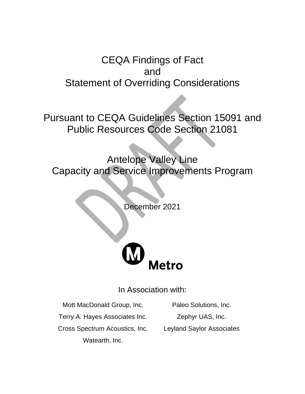# CEQA Findings of Fact and Statement of Overriding Considerations

Pursuant to CEQA Guidelines Section 15091 and Public Resources Code Section 21081

Antelope Valley Line Capacity and Service Improvements Program

December 2021



In Association with:

Mott MacDonald Group, Inc. Paleo Solutions, Inc.

Terry A. Hayes Associates Inc. Zephyr UAS, Inc.

Cross Spectrum Acoustics, Inc. Leyland Saylor Associates Watearth, Inc.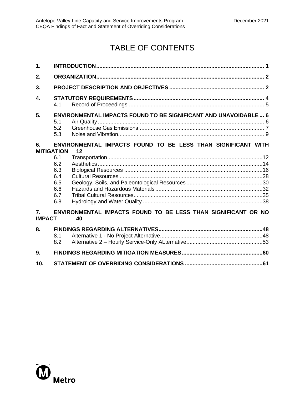# TABLE OF CONTENTS

| $\mathbf 1$             |                                                                                                                       |  |  |  |
|-------------------------|-----------------------------------------------------------------------------------------------------------------------|--|--|--|
| 2.                      |                                                                                                                       |  |  |  |
| 3.                      |                                                                                                                       |  |  |  |
| 4.                      | 4.1                                                                                                                   |  |  |  |
| 5.                      | <b>ENVIRONMENTAL IMPACTS FOUND TO BE SIGNIFICANT AND UNAVOIDABLE 6</b><br>5.1<br>5.2<br>5.3                           |  |  |  |
| 6.<br><b>MITIGATION</b> | ENVIRONMENTAL IMPACTS FOUND TO BE LESS THAN SIGNIFICANT WITH<br>12                                                    |  |  |  |
| $\mathbf{7}_{\cdot}$    | 6.1<br>6.2<br>6.3<br>6.4<br>6.5<br>6.6<br>6.7<br>6.8<br>ENVIRONMENTAL IMPACTS FOUND TO BE LESS THAN SIGNIFICANT OR NO |  |  |  |
| <b>IMPACT</b>           | 40                                                                                                                    |  |  |  |
| 8.                      | 8.1<br>8.2                                                                                                            |  |  |  |
| 9.                      |                                                                                                                       |  |  |  |
| 10.                     |                                                                                                                       |  |  |  |

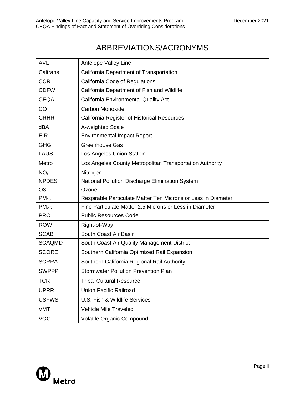# ABBREVIATIONS/ACRONYMS

| <b>AVL</b>        | Antelope Valley Line                                          |
|-------------------|---------------------------------------------------------------|
| Caltrans          | California Department of Transportation                       |
| <b>CCR</b>        | California Code of Regulations                                |
| <b>CDFW</b>       | California Department of Fish and Wildlife                    |
| <b>CEQA</b>       | California Environmental Quality Act                          |
| CO                | <b>Carbon Monoxide</b>                                        |
| <b>CRHR</b>       | California Register of Historical Resources                   |
| dBA               | A-weighted Scale                                              |
| <b>EIR</b>        | <b>Environmental Impact Report</b>                            |
| <b>GHG</b>        | <b>Greenhouse Gas</b>                                         |
| <b>LAUS</b>       | Los Angeles Union Station                                     |
| Metro             | Los Angeles County Metropolitan Transportation Authority      |
| NO <sub>x</sub>   | Nitrogen                                                      |
| <b>NPDES</b>      | National Pollution Discharge Elimination System               |
| O <sub>3</sub>    | Ozone                                                         |
| $PM_{10}$         | Respirable Particulate Matter Ten Microns or Less in Diameter |
| PM <sub>2.5</sub> | Fine Particulate Matter 2.5 Microns or Less in Diameter       |
| <b>PRC</b>        | <b>Public Resources Code</b>                                  |
| <b>ROW</b>        | Right-of-Way                                                  |
| <b>SCAB</b>       | South Coast Air Basin                                         |
| <b>SCAQMD</b>     | South Coast Air Quality Management District                   |
| <b>SCORE</b>      | Southern California Optimized Rail Expansion                  |
| <b>SCRRA</b>      | Southern California Regional Rail Authority                   |
| <b>SWPPP</b>      | <b>Stormwater Pollution Prevention Plan</b>                   |
| <b>TCR</b>        | <b>Tribal Cultural Resource</b>                               |
| <b>UPRR</b>       | <b>Union Pacific Railroad</b>                                 |
| <b>USFWS</b>      | U.S. Fish & Wildlife Services                                 |
| <b>VMT</b>        | <b>Vehicle Mile Traveled</b>                                  |
| <b>VOC</b>        | Volatile Organic Compound                                     |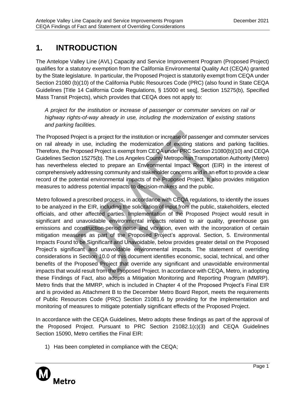# <span id="page-3-0"></span>**1. INTRODUCTION**

The Antelope Valley Line (AVL) Capacity and Service Improvement Program (Proposed Project) qualifies for a statutory exemption from the California Environmental Quality Act (CEQA) granted by the State legislature. In particular, the Proposed Project is statutorily exempt from CEQA under Section 21080 (b)(10) of the California Public Resources Code (PRC) (also found in State CEQA Guidelines [Title 14 California Code Regulations, § 15000 et seq], Section 15275(b), Specified Mass Transit Projects), which provides that CEQA does not apply to:

*A project for the institution or increase of passenger or commuter services on rail or highway rights-of-way already in use, including the modernization of existing stations and parking facilities.*

The Proposed Project is a project for the institution or increase of passenger and commuter services on rail already in use, including the modernization of existing stations and parking facilities. Therefore, the Proposed Project is exempt from CEQA under PRC Section 21080(b)(10) and CEQA Guidelines Section 15275(b). The Los Angeles County Metropolitan Transportation Authority (Metro) has nevertheless elected to prepare an Environmental Impact Report (EIR) in the interest of comprehensively addressing community and stakeholder concerns and in an effort to provide a clear record of the potential environmental impacts of the Proposed Project. It also provides mitigation measures to address potential impacts to decision-makers and the public.

Metro followed a prescribed process, in accordance with CEQA regulations, to identify the issues to be analyzed in the EIR, including the solicitation of input from the public, stakeholders, elected officials, and other affected parties. Implementation of the Proposed Project would result in significant and unavoidable environmental impacts related to air quality, greenhouse gas emissions and construction-period noise and vibration, even with the incorporation of certain mitigation measures as part of the Proposed Project's approval. Section, 5. Environmental Impacts Found to be Significant and Unavoidable, below provides greater detail on the Proposed Project's significant and unavoidable environmental impacts. The statement of overriding considerations in Section 10.0 of this document identifies economic, social, technical, and other benefits of the Proposed Project that override any significant and unavoidable environmental impacts that would result from the Proposed Project. In accordance with CEQA, Metro, in adopting these Findings of Fact, also adopts a Mitigation Monitoring and Reporting Program (MMRP). Metro finds that the MMRP, which is included in Chapter 4 of the Proposed Project's Final EIR and is provided as Attachment B to the December Metro Board Report, meets the requirements of Public Resources Code (PRC) Section 21081.6 by providing for the implementation and monitoring of measures to mitigate potentially significant effects of the Proposed Project.

In accordance with the CEQA Guidelines, Metro adopts these findings as part of the approval of the Proposed Project. Pursuant to PRC Section 21082.1(c)(3) and CEQA Guidelines Section 15090, Metro certifies the Final EIR:

1) Has been completed in compliance with the CEQA;

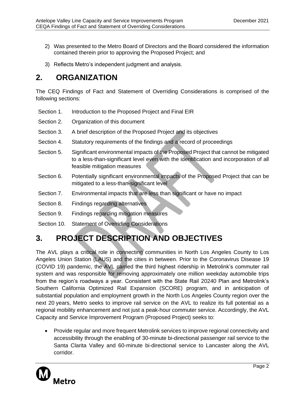- 2) Was presented to the Metro Board of Directors and the Board considered the information contained therein prior to approving the Proposed Project; and
- 3) Reflects Metro's independent judgment and analysis.

# <span id="page-4-0"></span>**2. ORGANIZATION**

The CEQ Findings of Fact and Statement of Overriding Considerations is comprised of the following sections:

- Section 1. Introduction to the Proposed Project and Final EIR
- Section 2. Organization of this document
- Section 3. A brief description of the Proposed Project and its objectives
- Section 4. Statutory requirements of the findings and a record of proceedings
- Section 5. Significant environmental impacts of the Proposed Project that cannot be mitigated to a less-than-significant level even with the identification and incorporation of all feasible mitigation measures
- Section 6. Potentially significant environmental impacts of the Proposed Project that can be mitigated to a less-than-significant level
- Section 7. Environmental impacts that are less than significant or have no impact
- Section 8. Findings regarding alternatives
- Section 9. Findings regarding mitigation measures
- Section 10. Statement of Overriding Considerations

## <span id="page-4-1"></span>**3. PROJECT DESCRIPTION AND OBJECTIVES**

The AVL plays a critical role in connecting communities in North Los Angeles County to Los Angeles Union Station (LAUS) and the cities in between. Prior to the Coronavirus Disease 19 (COVID 19) pandemic, the AVL carried the third highest ridership in Metrolink's commuter rail system and was responsible for removing approximately one million weekday automobile trips from the region's roadways a year. Consistent with the State Rail 20240 Plan and Metrolink's Southern California Optimized Rail Expansion (SCORE) program, and in anticipation of substantial population and employment growth in the North Los Angeles County region over the next 20 years, Metro seeks to improve rail service on the AVL to realize its full potential as a regional mobility enhancement and not just a peak-hour commuter service. Accordingly, the AVL Capacity and Service Improvement Program (Proposed Project) seeks to:

• Provide regular and more frequent Metrolink services to improve regional connectivity and accessibility through the enabling of 30-minute bi-directional passenger rail service to the Santa Clarita Valley and 60-minute bi-directional service to Lancaster along the AVL corridor.

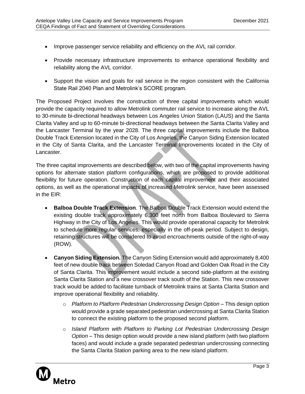- Improve passenger service reliability and efficiency on the AVL rail corridor.
- Provide necessary infrastructure improvements to enhance operational flexibility and reliability along the AVL corridor.
- Support the vision and goals for rail service in the region consistent with the California State Rail 2040 Plan and Metrolink's SCORE program.

The Proposed Project involves the construction of three capital improvements which would provide the capacity required to allow Metrolink commuter rail service to increase along the AVL to 30-minute bi-directional headways between Los Angeles Union Station (LAUS) and the Santa Clarita Valley and up to 60-minute bi-directional headways between the Santa Clarita Valley and the Lancaster Terminal by the year 2028. The three capital improvements include the Balboa Double Track Extension located in the City of Los Angeles, the Canyon Siding Extension located in the City of Santa Clarita, and the Lancaster Terminal Improvements located in the City of Lancaster.

The three capital improvements are described below, with two of the capital improvements having options for alternate station platform configurations, which are proposed to provide additional flexibility for future operation. Construction of each capital improvement and their associated options, as well as the operational impacts of increased Metrolink service, have been assessed in the EIR:

- **Balboa Double Track Extension**. The Balboa Double Track Extension would extend the existing double track approximately 6,300 feet north from Balboa Boulevard to Sierra Highway in the City of Los Angeles. This would provide operational capacity for Metrolink to schedule more regular services, especially in the off-peak period. Subject to design, retaining structures will be considered to avoid encroachments outside of the right-of-way (ROW).
- **Canyon Siding Extension.** The Canyon Siding Extension would add approximately 8,400 feet of new double track between Soledad Canyon Road and Golden Oak Road in the City of Santa Clarita. This improvement would include a second side-platform at the existing Santa Clarita Station and a new crossover track south of the Station. This new crossover track would be added to facilitate turnback of Metrolink trains at Santa Clarita Station and improve operational flexibility and reliability.
	- o *Platform to Platform Pedestrian Undercrossing Design Option* This design option would provide a grade separated pedestrian undercrossing at Santa Clarita Station to connect the existing platform to the proposed second platform.
	- o *Island Platform with Platform to Parking Lot Pedestrian Undercrossing Design Option –* This design option would provide a new island platform (with two platform faces) and would include a grade separated pedestrian undercrossing connecting the Santa Clarita Station parking area to the new island platform.

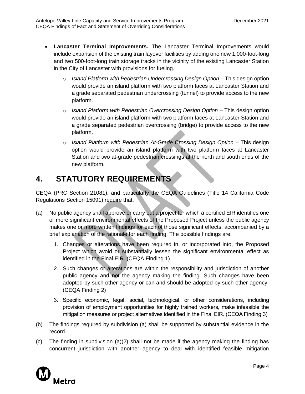- **Lancaster Terminal Improvements.** The Lancaster Terminal Improvements would include expansion of the existing train layover facilities by adding one new 1,000-foot-long and two 500-foot-long train storage tracks in the vicinity of the existing Lancaster Station in the City of Lancaster with provisions for fueling.
	- o *Island Platform with Pedestrian Undercrossing Design Option –* This design option would provide an island platform with two platform faces at Lancaster Station and a grade separated pedestrian undercrossing (tunnel) to provide access to the new platform.
	- o *Island Platform with Pedestrian Overcrossing Design Option –* This design option would provide an island platform with two platform faces at Lancaster Station and a grade separated pedestrian overcrossing (bridge) to provide access to the new platform.
	- o *Island Platform with Pedestrian At-Grade Crossing Design Option –* This design option would provide an island platform with two platform faces at Lancaster Station and two at-grade pedestrian crossings at the north and south ends of the new platform.

## <span id="page-6-0"></span>**4. STATUTORY REQUIREMENTS**

CEQA (PRC Section 21081), and particularly the CEQA Guidelines (Title 14 California Code Regulations Section 15091) require that:

- (a) No public agency shall approve or carry out a project for which a certified EIR identifies one or more significant environmental effects of the Proposed Project unless the public agency makes one or more written findings for each of those significant effects, accompanied by a brief explanation of the rationale for each finding. The possible findings are:
	- 1. Changes or alterations have been required in, or incorporated into, the Proposed Project which avoid or substantially lessen the significant environmental effect as identified in the Final EIR. (CEQA Finding 1)
	- 2. Such changes or alterations are within the responsibility and jurisdiction of another public agency and not the agency making the finding. Such changes have been adopted by such other agency or can and should be adopted by such other agency. (CEQA Finding 2)
	- 3. Specific economic, legal, social, technological, or other considerations, including provision of employment opportunities for highly trained workers, make infeasible the mitigation measures or project alternatives identified in the Final EIR. (CEQA Finding 3)
- (b) The findings required by subdivision (a) shall be supported by substantial evidence in the record.
- (c) The finding in subdivision  $(a)(2)$  shall not be made if the agency making the finding has concurrent jurisdiction with another agency to deal with identified feasible mitigation

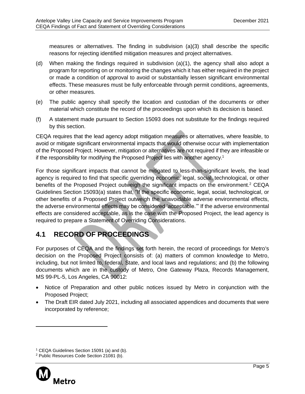measures or alternatives. The finding in subdivision (a)(3) shall describe the specific reasons for rejecting identified mitigation measures and project alternatives.

- (d) When making the findings required in subdivision (a)(1), the agency shall also adopt a program for reporting on or monitoring the changes which it has either required in the project or made a condition of approval to avoid or substantially lessen significant environmental effects. These measures must be fully enforceable through permit conditions, agreements, or other measures.
- (e) The public agency shall specify the location and custodian of the documents or other material which constitute the record of the proceedings upon which its decision is based.
- (f) A statement made pursuant to Section 15093 does not substitute for the findings required by this section.

CEQA requires that the lead agency adopt mitigation measures or alternatives, where feasible, to avoid or mitigate significant environmental impacts that would otherwise occur with implementation of the Proposed Project. However, mitigation or alternatives are not required if they are infeasible or if the responsibility for modifying the Proposed Project lies with another agency. 1

For those significant impacts that cannot be mitigated to less-than-significant levels, the lead agency is required to find that specific overriding economic, legal, social, technological, or other benefits of the Proposed Project outweigh the significant impacts on the environment.<sup>2</sup> CEQA Guidelines Section 15093(a) states that, "If the specific economic, legal, social, technological, or other benefits of a Proposed Project outweigh the unavoidable adverse environmental effects, the adverse environmental effects may be considered 'acceptable.'" If the adverse environmental effects are considered acceptable, as is the case with the Proposed Project, the lead agency is required to prepare a Statement of Overriding Considerations.

## <span id="page-7-0"></span>**4.1 RECORD OF PROCEEDINGS**

For purposes of CEQA and the findings set forth herein, the record of proceedings for Metro's decision on the Proposed Project consists of: (a) matters of common knowledge to Metro, including, but not limited to, federal, State, and local laws and regulations; and (b) the following documents which are in the custody of Metro, One Gateway Plaza, Records Management, MS 99-PL-5, Los Angeles, CA 90012:

- Notice of Preparation and other public notices issued by Metro in conjunction with the Proposed Project;
- The Draft EIR dated July 2021, including all associated appendices and documents that were incorporated by reference;

<sup>2</sup> Public Resources Code Section 21081 (b).



<sup>&</sup>lt;sup>1</sup> CEQA Guidelines Section 15091 (a) and (b).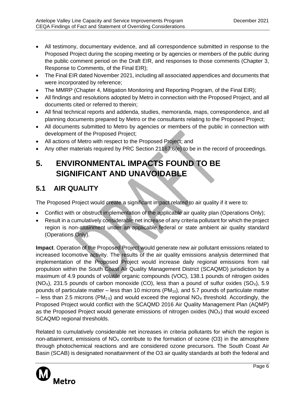- All testimony, documentary evidence, and all correspondence submitted in response to the Proposed Project during the scoping meeting or by agencies or members of the public during the public comment period on the Draft EIR, and responses to those comments (Chapter 3, Response to Comments, of the Final EIR);
- The Final EIR dated November 2021, including all associated appendices and documents that were incorporated by reference;
- The MMRP (Chapter 4, Mitigation Monitoring and Reporting Program, of the Final EIR);
- All findings and resolutions adopted by Metro in connection with the Proposed Project, and all documents cited or referred to therein;
- All final technical reports and addenda, studies, memoranda, maps, correspondence, and all planning documents prepared by Metro or the consultants relating to the Proposed Project;
- All documents submitted to Metro by agencies or members of the public in connection with development of the Proposed Project;
- All actions of Metro with respect to the Proposed Project; and
- Any other materials required by PRC Section 21167.6(e) to be in the record of proceedings.

# <span id="page-8-0"></span>**5. ENVIRONMENTAL IMPACTS FOUND TO BE SIGNIFICANT AND UNAVOIDABLE**

## <span id="page-8-1"></span>**5.1 AIR QUALITY**

The Proposed Project would create a significant impact related to air quality if it were to:

- Conflict with or obstruct implementation of the applicable air quality plan (Operations Only);
- Result in a cumulatively considerable net increase of any criteria pollutant for which the project region is non-attainment under an applicable federal or state ambient air quality standard (Operations Only).

**Impact**. Operation of the Proposed Project would generate new air pollutant emissions related to increased locomotive activity. The results of the air quality emissions analysis determined that implementation of the Proposed Project would increase daily regional emissions from rail propulsion within the South Coast Air Quality Management District (SCAQMD) jurisdiction by a maximum of 4.9 pounds of volatile organic compounds (VOC), 138.1 pounds of nitrogen oxides  $(NO_X)$ , 231.5 pounds of carbon monoxide (CO), less than a pound of sulfur oxides  $(SO_X)$ , 5.9 pounds of particulate matter – less than 10 microns  $(PM_{10})$ , and 5.7 pounds of particulate matter – less than 2.5 microns (PM<sub>2.5</sub>) and would exceed the regional NO<sub>x</sub> threshold. Accordingly, the Proposed Project would conflict with the SCAQMD 2016 Air Quality Management Plan (AQMP) as the Proposed Project would generate emissions of nitrogen oxides  $(NO<sub>x</sub>)$  that would exceed SCAQMD regional thresholds.

Related to cumulatively considerable net increases in criteria pollutants for which the region is non-attainment, emissions of  $NO<sub>x</sub>$  contribute to the formation of ozone (O3) in the atmosphere through photochemical reactions and are considered ozone precursors. The South Coast Air Basin (SCAB) is designated nonattainment of the O3 air quality standards at both the federal and

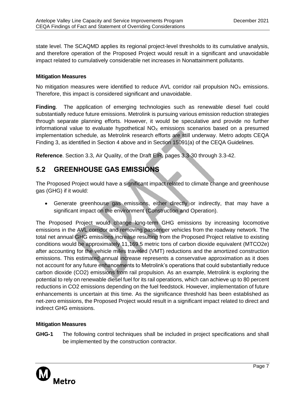state level. The SCAQMD applies its regional project-level thresholds to its cumulative analysis, and therefore operation of the Proposed Project would result in a significant and unavoidable impact related to cumulatively considerable net increases in Nonattainment pollutants.

#### **Mitigation Measures**

No mitigation measures were identified to reduce  $AVL$  corridor rail propulsion  $NO<sub>x</sub>$  emissions. Therefore, this impact is considered significant and unavoidable.

**Finding**. The application of emerging technologies such as renewable diesel fuel could substantially reduce future emissions. Metrolink is pursuing various emission reduction strategies through separate planning efforts. However, it would be speculative and provide no further informational value to evaluate hypothetical  $NO<sub>x</sub>$  emissions scenarios based on a presumed implementation schedule, as Metrolink research efforts are still underway. Metro adopts CEQA Finding 3, as identified in Section 4 above and in Section 15091(a) of the CEQA Guidelines.

**Reference**. Section 3.3, Air Quality, of the Draft EIR, pages 3.3-30 through 3.3-42.

## <span id="page-9-0"></span>**5.2 GREENHOUSE GAS EMISSIONS**

The Proposed Project would have a significant impact related to climate change and greenhouse gas (GHG) if it would:

• Generate greenhouse gas emissions, either directly or indirectly, that may have a significant impact on the environment (Construction and Operation).

The Proposed Project would change long-term GHG emissions by increasing locomotive emissions in the AVL corridor and removing passenger vehicles from the roadway network. The total net annual GHG emissions increase resulting from the Proposed Project relative to existing conditions would be approximately 11,169.5 metric tons of carbon dioxide equivalent (MTCO2e) after accounting for the vehicle miles traveled (VMT) reductions and the amortized construction emissions. This estimated annual increase represents a conservative approximation as it does not account for any future enhancements to Metrolink's operations that could substantially reduce carbon dioxide (CO2) emissions from rail propulsion. As an example, Metrolink is exploring the potential to rely on renewable diesel fuel for its rail operations, which can achieve up to 80 percent reductions in CO2 emissions depending on the fuel feedstock. However, implementation of future enhancements is uncertain at this time. As the significance threshold has been established as net-zero emissions, the Proposed Project would result in a significant impact related to direct and indirect GHG emissions.

## **Mitigation Measures**

**GHG-1** The following control techniques shall be included in project specifications and shall be implemented by the construction contractor.

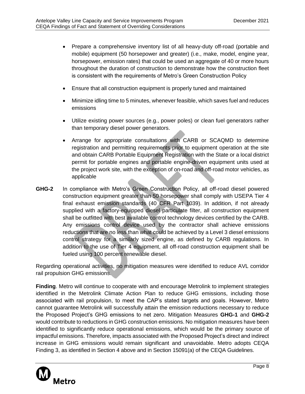- Prepare a comprehensive inventory list of all heavy-duty off-road (portable and mobile) equipment (50 horsepower and greater) (i.e., make, model, engine year, horsepower, emission rates) that could be used an aggregate of 40 or more hours throughout the duration of construction to demonstrate how the construction fleet is consistent with the requirements of Metro's Green Construction Policy
- Ensure that all construction equipment is properly tuned and maintained
- Minimize idling time to 5 minutes, whenever feasible, which saves fuel and reduces emissions
- Utilize existing power sources (e.g., power poles) or clean fuel generators rather than temporary diesel power generators.
- Arrange for appropriate consultations with CARB or SCAQMD to determine registration and permitting requirements prior to equipment operation at the site and obtain CARB Portable Equipment Registration with the State or a local district permit for portable engines and portable engine-driven equipment units used at the project work site, with the exception of on-road and off-road motor vehicles, as applicable
- **GHG-2** In compliance with Metro's Green Construction Policy, all off-road diesel powered construction equipment greater than 50 horsepower shall comply with USEPA Tier 4 final exhaust emission standards (40 CFR Part 1039). In addition, if not already supplied with a factory-equipped diesel particulate filter, all construction equipment shall be outfitted with best available control technology devices certified by the CARB. Any emissions control device used by the contractor shall achieve emissions reductions that are no less than what could be achieved by a Level 3 diesel emissions control strategy for a similarly sized engine, as defined by CARB regulations. In addition to the use of Tier 4 equipment, all off-road construction equipment shall be fueled using 100 percent renewable diesel.

Regarding operational activities, no mitigation measures were identified to reduce AVL corridor rail propulsion GHG emissions.

**Finding**. Metro will continue to cooperate with and encourage Metrolink to implement strategies identified in the Metrolink Climate Action Plan to reduce GHG emissions, including those associated with rail propulsion, to meet the CAP's stated targets and goals. However, Metro cannot guarantee Metrolink will successfully attain the emission reductions necessary to reduce the Proposed Project's GHG emissions to net zero. Mitigation Measures **GHG-1** and **GHG-2** would contribute to reductions in GHG construction emissions. No mitigation measures have been identified to significantly reduce operational emissions, which would be the primary source of impactful emissions. Therefore, impacts associated with the Proposed Project's direct and indirect increase in GHG emissions would remain significant and unavoidable. Metro adopts CEQA Finding 3, as identified in Section 4 above and in Section 15091(a) of the CEQA Guidelines.

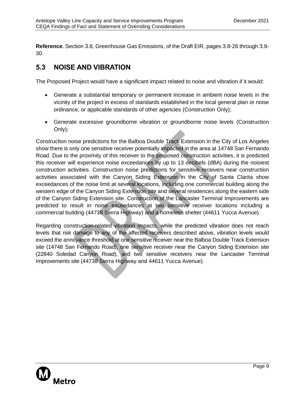**Reference**. Section 3.8, Greenhouse Gas Emissions, of the Draft EIR, pages 3.8-26 through 3.8- 30.

## <span id="page-11-0"></span>**5.3 NOISE AND VIBRATION**

The Proposed Project would have a significant impact related to noise and vibration if it would:

- Generate a substantial temporary or permanent increase in ambient noise levels in the vicinity of the project in excess of standards established in the local general plan or noise ordinance, or applicable standards of other agencies (Construction Only);
- Generate excessive groundborne vibration or groundborne noise levels (Construction Only);

Construction noise predictions for the Balboa Double Track Extension in the City of Los Angeles show there is only one sensitive receiver potentially impacted in the area at 14748 San Fernando Road. Due to the proximity of this receiver to the proposed construction activities, it is predicted this receiver will experience noise exceedances by up to 13 decibels (dBA) during the noisiest construction activities. Construction noise predictions for sensitive receivers near construction activities associated with the Canyon Siding Extension in the City of Santa Clarita show exceedances of the noise limit at several locations, including one commercial building along the western edge of the Canyon Siding Extension site and several residences along the eastern side of the Canyon Siding Extension site. Construction of the Lancaster Terminal Improvements are predicted to result in noise exceedances at two sensitive receiver locations including a commercial building (44738 Sierra Highway) and a homeless shelter (44611 Yucca Avenue).

Regarding construction-related vibration impacts, while the predicted vibration does not reach levels that risk damage to any of the affected receivers described above, vibration levels would exceed the annoyance threshold at one sensitive receiver near the Balboa Double Track Extension site (14748 San Fernando Road), one sensitive receiver near the Canyon Siding Extension site (22840 Soledad Canyon Road), and two sensitive receivers near the Lancaster Terminal Improvements site (44738 Sierra Highway and 44611 Yucca Avenue).

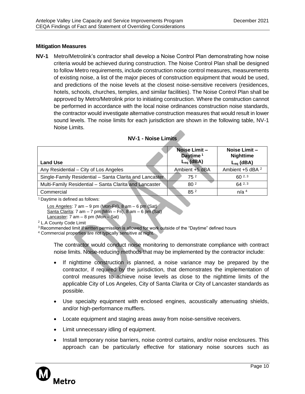## **Mitigation Measures**

**NV-1** Metro/Metrolink's contractor shall develop a Noise Control Plan demonstrating how noise criteria would be achieved during construction. The Noise Control Plan shall be designed to follow Metro requirements, include construction noise control measures, measurements of existing noise, a list of the major pieces of construction equipment that would be used, and predictions of the noise levels at the closest noise-sensitive receivers (residences, hotels, schools, churches, temples, and similar facilities). The Noise Control Plan shall be approved by Metro/Metrolink prior to initiating construction. Where the construction cannot be performed in accordance with the local noise ordinances construction noise standards, the contractor would investigate alternative construction measures that would result in lower sound levels. The noise limits for each jurisdiction are shown in the following table, NV-1 Noise Limits.

| <b>Land Use</b>                                         | Noise Limit -<br>Daytime <sup>1</sup><br>$L_{eq}$ (dBA) | Noise Limit -<br><b>Nighttime</b><br>$L_{eq}$ (dBA) |
|---------------------------------------------------------|---------------------------------------------------------|-----------------------------------------------------|
| Any Residential – City of Los Angeles                   | Ambient +5 dBA                                          | Ambient +5 dBA <sup>2</sup>                         |
| Single-Family Residential - Santa Clarita and Lancaster | 75 <sup>2</sup>                                         | $60^{2,3}$                                          |
| Multi-Family Residential - Santa Clarita and Lancaster  | 80 <sup>2</sup>                                         | $64^{2,3}$                                          |
| Commercial                                              | 85 <sup>2</sup>                                         | n/a <sup>4</sup>                                    |

#### **NV-1 - Noise Limits**

<sup>1</sup> Daytime is defined as follows:

```
Los Angeles: 7 am – 9 pm (Mon-Fri), 8 am – 6 pm (Sat)
Santa Clarita: 7 \text{ am} - 7 \text{ pm} (Mon – Fri), 8 \text{ am} - 6 \text{ pm} (Sat)
Lancaster: 7 \text{ am} - 8 \text{ pm} (Mon - Sat)
```
<sup>2</sup> L.A County Code Limit

<sup>3</sup> Recommended limit if written permission is allowed for work outside of the "Daytime" defined hours

<sup>4</sup> Commercial properties are not typically sensitive at night.

The contractor would conduct noise monitoring to demonstrate compliance with contract noise limits. Noise-reducing methods that may be implemented by the contractor include:

- If nighttime construction is planned, a noise variance may be prepared by the contractor, if required by the jurisdiction, that demonstrates the implementation of control measures to achieve noise levels as close to the nighttime limits of the applicable City of Los Angeles, City of Santa Clarita or City of Lancaster standards as possible.
- Use specialty equipment with enclosed engines, acoustically attenuating shields, and/or high-performance mufflers.
- Locate equipment and staging areas away from noise-sensitive receivers.
- Limit unnecessary idling of equipment.
- Install temporary noise barriers, noise control curtains, and/or noise enclosures. This approach can be particularly effective for stationary noise sources such as

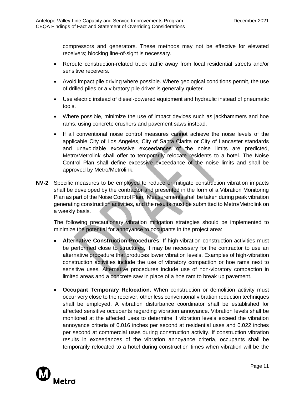compressors and generators. These methods may not be effective for elevated receivers; blocking line-of-sight is necessary.

- Reroute construction-related truck traffic away from local residential streets and/or sensitive receivers.
- Avoid impact pile driving where possible. Where geological conditions permit, the use of drilled piles or a vibratory pile driver is generally quieter.
- Use electric instead of diesel-powered equipment and hydraulic instead of pneumatic tools.
- Where possible, minimize the use of impact devices such as jackhammers and hoe rams, using concrete crushers and pavement saws instead.
- If all conventional noise control measures cannot achieve the noise levels of the applicable City of Los Angeles, City of Santa Clarita or City of Lancaster standards and unavoidable excessive exceedances of the noise limits are predicted, Metro/Metrolink shall offer to temporarily relocate residents to a hotel. The Noise Control Plan shall define excessive exceedance of the noise limits and shall be approved by Metro/Metrolink.
- **NV-2** Specific measures to be employed to reduce or mitigate construction vibration impacts shall be developed by the contractor and presented in the form of a Vibration Monitoring Plan as part of the Noise Control Plan. Measurements shall be taken during peak vibration generating construction activities, and the results must be submitted to Metro/Metrolink on a weekly basis.

The following precautionary vibration mitigation strategies should be implemented to minimize the potential for annoyance to occupants in the project area:

- **Alternative Construction Procedures**: If high-vibration construction activities must be performed close to structures, it may be necessary for the contractor to use an alternative procedure that produces lower vibration levels. Examples of high-vibration construction activities include the use of vibratory compaction or hoe rams next to sensitive uses. Alternative procedures include use of non-vibratory compaction in limited areas and a concrete saw in place of a hoe ram to break up pavement.
- **Occupant Temporary Relocation.** When construction or demolition activity must occur very close to the receiver, other less conventional vibration reduction techniques shall be employed. A vibration disturbance coordinator shall be established for affected sensitive occupants regarding vibration annoyance. Vibration levels shall be monitored at the affected uses to determine if vibration levels exceed the vibration annoyance criteria of 0.016 inches per second at residential uses and 0.022 inches per second at commercial uses during construction activity. If construction vibration results in exceedances of the vibration annoyance criteria, occupants shall be temporarily relocated to a hotel during construction times when vibration will be the

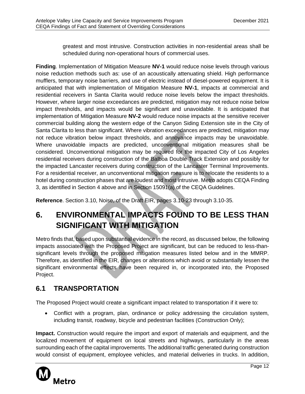greatest and most intrusive. Construction activities in non-residential areas shall be scheduled during non-operational hours of commercial uses.

**Finding**. Implementation of Mitigation Measure **NV-1** would reduce noise levels through various noise reduction methods such as: use of an acoustically attenuating shield. High performance mufflers, temporary noise barriers, and use of electric instead of diesel-powered equipment. It is anticipated that with implementation of Mitigation Measure **NV-1**, impacts at commercial and residential receivers in Santa Clarita would reduce noise levels below the impact thresholds. However, where larger noise exceedances are predicted, mitigation may not reduce noise below impact thresholds, and impacts would be significant and unavoidable. It is anticipated that implementation of Mitigation Measure **NV-2** would reduce noise impacts at the sensitive receiver commercial building along the western edge of the Canyon Siding Extension site in the City of Santa Clarita to less than significant. Where vibration exceedances are predicted, mitigation may not reduce vibration below impact thresholds, and annoyance impacts may be unavoidable. Where unavoidable impacts are predicted, unconventional mitigation measures shall be considered. Unconventional mitigation may be required for the impacted City of Los Angeles residential receivers during construction of the Balboa Double Track Extension and possibly for the impacted Lancaster receivers during construction of the Lancaster Terminal Improvements. For a residential receiver, an unconventional mitigation measure is to relocate the residents to a hotel during construction phases that are loudest and most intrusive. Metro adopts CEQA Finding 3, as identified in Section 4 above and in Section 15091(a) of the CEQA Guidelines.

**Reference**. Section 3.10, Noise, of the Draft EIR, pages 3.10-23 through 3.10-35.

# <span id="page-14-0"></span>**6. ENVIRONMENTAL IMPACTS FOUND TO BE LESS THAN SIGNIFICANT WITH MITIGATION**

Metro finds that, based upon substantial evidence in the record, as discussed below, the following impacts associated with the Proposed Project are significant, but can be reduced to less-thansignificant levels through the proposed mitigation measures listed below and in the MMRP. Therefore, as identified in the EIR, changes or alterations which avoid or substantially lessen the significant environmental effects have been required in, or incorporated into, the Proposed Project.

## <span id="page-14-1"></span>**6.1 TRANSPORTATION**

The Proposed Project would create a significant impact related to transportation if it were to:

• Conflict with a program, plan, ordinance or policy addressing the circulation system, including transit, roadway, bicycle and pedestrian facilities (Construction Only);

**Impact.** Construction would require the import and export of materials and equipment, and the localized movement of equipment on local streets and highways, particularly in the areas surrounding each of the capital improvements. The additional traffic generated during construction would consist of equipment, employee vehicles, and material deliveries in trucks. In addition,

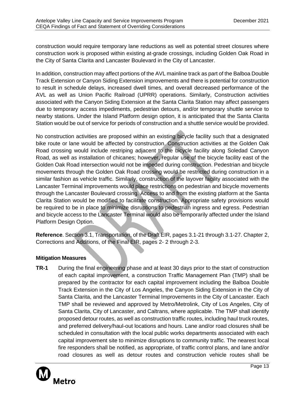construction would require temporary lane reductions as well as potential street closures where construction work is proposed within existing at-grade crossings, including Golden Oak Road in the City of Santa Clarita and Lancaster Boulevard in the City of Lancaster.

In addition, construction may affect portions of the AVL mainline track as part of the Balboa Double Track Extension or Canyon Siding Extension improvements and there is potential for construction to result in schedule delays, increased dwell times, and overall decreased performance of the AVL as well as Union Pacific Railroad (UPRR) operations. Similarly, Construction activities associated with the Canyon Siding Extension at the Santa Clarita Station may affect passengers due to temporary access impediments, pedestrian detours, and/or temporary shuttle service to nearby stations. Under the Island Platform design option, it is anticipated that the Santa Clarita Station would be out of service for periods of construction and a shuttle service would be provided.

No construction activities are proposed within an existing bicycle facility such that a designated bike route or lane would be affected by construction. Construction activities at the Golden Oak Road crossing would include restriping adjacent to the bicycle facility along Soledad Canyon Road, as well as installation of chicanes; however, regular use of the bicycle facility east of the Golden Oak Road intersection would not be impeded during construction. Pedestrian and bicycle movements through the Golden Oak Road crossing would be restricted during construction in a similar fashion as vehicle traffic. Similarly, construction of the layover facility associated with the Lancaster Terminal improvements would place restrictions on pedestrian and bicycle movements through the Lancaster Boulevard crossing. Access to and from the existing platform at the Santa Clarita Station would be modified to facilitate construction. Appropriate safety provisions would be required to be in place to minimize disruptions to pedestrian ingress and egress. Pedestrian and bicycle access to the Lancaster Terminal would also be temporarily affected under the Island Platform Design Option.

**Reference**. Section 3.1, Transportation, of the Draft EIR, pages 3.1-21 through 3.1-27. Chapter 2, Corrections and Additions, of the Final EIR, pages 2- 2 through 2-3.

## **Mitigation Measures**

**TR-1** During the final engineering phase and at least 30 days prior to the start of construction of each capital improvement, a construction Traffic Management Plan (TMP) shall be prepared by the contractor for each capital improvement including the Balboa Double Track Extension in the City of Los Angeles, the Canyon Siding Extension in the City of Santa Clarita, and the Lancaster Terminal Improvements in the City of Lancaster. Each TMP shall be reviewed and approved by Metro/Metrolink, City of Los Angeles, City of Santa Clarita, City of Lancaster, and Caltrans, where applicable. The TMP shall identify proposed detour routes, as well as construction traffic routes, including haul truck routes, and preferred delivery/haul-out locations and hours. Lane and/or road closures shall be scheduled in consultation with the local public works departments associated with each capital improvement site to minimize disruptions to community traffic. The nearest local fire responders shall be notified, as appropriate, of traffic control plans, and lane and/or road closures as well as detour routes and construction vehicle routes shall be

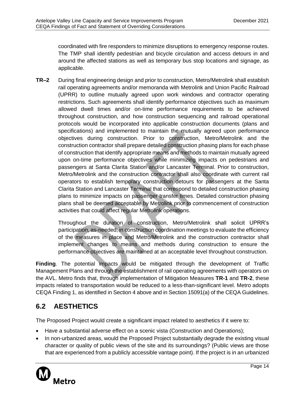coordinated with fire responders to minimize disruptions to emergency response routes. The TMP shall identify pedestrian and bicycle circulation and access detours in and around the affected stations as well as temporary bus stop locations and signage, as applicable.

**TR–2** During final engineering design and prior to construction, Metro/Metrolink shall establish rail operating agreements and/or memoranda with Metrolink and Union Pacific Railroad (UPRR) to outline mutually agreed upon work windows and contractor operating restrictions. Such agreements shall identify performance objectives such as maximum allowed dwell times and/or on-time performance requirements to be achieved throughout construction, and how construction sequencing and railroad operational protocols would be incorporated into applicable construction documents (plans and specifications) and implemented to maintain the mutually agreed upon performance objectives during construction. Prior to construction, Metro/Metrolink and the construction contractor shall prepare detailed construction phasing plans for each phase of construction that identify appropriate means and methods to maintain mutually agreed upon on-time performance objectives while minimizing impacts on pedestrians and passengers at Santa Clarita Station and/or Lancaster Terminal. Prior to construction, Metro/Metrolink and the construction contractor shall also coordinate with current rail operators to establish temporary construction detours for passengers at the Santa Clarita Station and Lancaster Terminal that correspond to detailed construction phasing plans to minimize impacts on passenger transfer times. Detailed construction phasing plans shall be deemed acceptable by Metrolink prior to commencement of construction activities that could affect regular Metrolink operations.

Throughout the duration of construction, Metro/Metrolink shall solicit UPRR's participation, as-needed, in construction coordination meetings to evaluate the efficiency of the measures in place and Metro/Metrolink and the construction contractor shall implement changes to means and methods during construction to ensure the performance objectives are maintained at an acceptable level throughout construction.

**Finding**. The potential impacts would be mitigated through the development of Traffic Management Plans and through the establishment of rail operating agreements with operators on the AVL. Metro finds that, through implementation of Mitigation Measures **TR-1** and **TR-2**, these impacts related to transportation would be reduced to a less-than-significant level. Metro adopts CEQA Finding 1, as identified in Section 4 above and in Section 15091(a) of the CEQA Guidelines.

## <span id="page-16-0"></span>**6.2 AESTHETICS**

The Proposed Project would create a significant impact related to aesthetics if it were to:

- Have a substantial adverse effect on a scenic vista (Construction and Operations);
- In non-urbanized areas, would the Proposed Project substantially degrade the existing visual character or quality of public views of the site and its surroundings? (Public views are those that are experienced from a publicly accessible vantage point). If the project is in an urbanized

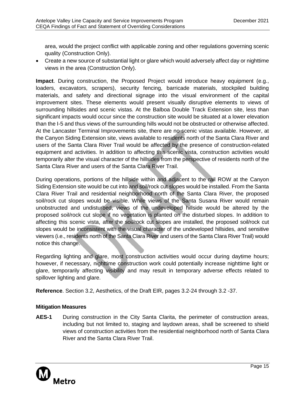area, would the project conflict with applicable zoning and other regulations governing scenic quality (Construction Only).

• Create a new source of substantial light or glare which would adversely affect day or nighttime views in the area (Construction Only).

**Impact**. During construction, the Proposed Project would introduce heavy equipment (e.g., loaders, excavators, scrapers), security fencing, barricade materials, stockpiled building materials, and safety and directional signage into the visual environment of the capital improvement sites. These elements would present visually disruptive elements to views of surrounding hillsides and scenic vistas. At the Balboa Double Track Extension site, less than significant impacts would occur since the construction site would be situated at a lower elevation than the I-5 and thus views of the surrounding hills would not be obstructed or otherwise affected. At the Lancaster Terminal Improvements site, there are no scenic vistas available. However, at the Canyon Siding Extension site, views available to residents north of the Santa Clara River and users of the Santa Clara River Trail would be affected by the presence of construction-related equipment and activities. In addition to affecting this scenic vista, construction activities would temporarily alter the visual character of the hillsides from the perspective of residents north of the Santa Clara River and users of the Santa Clara River Trail.

During operations, portions of the hillside within and adjacent to the rail ROW at the Canyon Siding Extension site would be cut into and soil/rock cut slopes would be installed. From the Santa Clara River Trail and residential neighborhood north of the Santa Clara River, the proposed soil/rock cut slopes would be visible. While views of the Santa Susana River would remain unobstructed and undisturbed, views of the undeveloped hillside would be altered by the proposed soil/rock cut slope if no vegetation is planted on the disturbed slopes. In addition to affecting this scenic vista, after the soil/rock cut slopes are installed, the proposed soil/rock cut slopes would be inconsistent with the visual character of the undeveloped hillsides, and sensitive viewers (i.e., residents north of the Santa Clara River and users of the Santa Clara River Trail) would notice this change.

Regarding lighting and glare, most construction activities would occur during daytime hours; however, if necessary, nighttime construction work could potentially increase nighttime light or glare, temporarily affecting visibility and may result in temporary adverse effects related to spillover lighting and glare.

**Reference**. Section 3.2, Aesthetics, of the Draft EIR, pages 3.2-24 through 3.2 -37.

## **Mitigation Measures**

**AES-1** During construction in the City Santa Clarita, the perimeter of construction areas, including but not limited to, staging and laydown areas, shall be screened to shield views of construction activities from the residential neighborhood north of Santa Clara River and the Santa Clara River Trail.

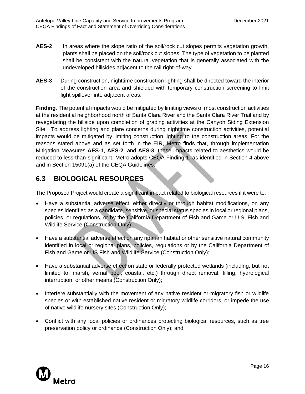- **AES-2** In areas where the slope ratio of the soil/rock cut slopes permits vegetation growth, plants shall be placed on the soil/rock cut slopes. The type of vegetation to be planted shall be consistent with the natural vegetation that is generally associated with the undeveloped hillsides adjacent to the rail right-of-way.
- **AES-3** During construction, nighttime construction lighting shall be directed toward the interior of the construction area and shielded with temporary construction screening to limit light spillover into adjacent areas.

**Finding**. The potential impacts would be mitigated by limiting views of most construction activities at the residential neighborhood north of Santa Clara River and the Santa Clara River Trail and by revegetating the hillside upon completion of grading activities at the Canyon Siding Extension Site. To address lighting and glare concerns during nighttime construction activities, potential impacts would be mitigated by limiting construction lighting to the construction areas. For the reasons stated above and as set forth in the EIR, Metro finds that, through implementation Mitigation Measures **AES-1**, **AES-2**, and **AES-3**, these impacts related to aesthetics would be reduced to less-than-significant. Metro adopts CEQA Finding 1, as identified in Section 4 above and in Section 15091(a) of the CEQA Guidelines.

## <span id="page-18-0"></span>**6.3 BIOLOGICAL RESOURCES**

The Proposed Project would create a significant impact related to biological resources if it were to:

- Have a substantial adverse effect, either directly or through habitat modifications, on any species identified as a candidate, sensitive, or special status species in local or regional plans, policies, or regulations, or by the California Department of Fish and Game or U.S. Fish and Wildlife Service (Construction Only);
- Have a substantial adverse effect on any riparian habitat or other sensitive natural community identified in local or regional plans, policies, regulations or by the California Department of Fish and Game or US Fish and Wildlife Service (Construction Only);
- Have a substantial adverse effect on state or federally protected wetlands (including, but not limited to, marsh, vernal pool, coastal, etc.) through direct removal, filling, hydrological interruption, or other means (Construction Only);
- Interfere substantially with the movement of any native resident or migratory fish or wildlife species or with established native resident or migratory wildlife corridors, or impede the use of native wildlife nursery sites (Construction Only);
- Conflict with any local policies or ordinances protecting biological resources, such as tree preservation policy or ordinance (Construction Only); and

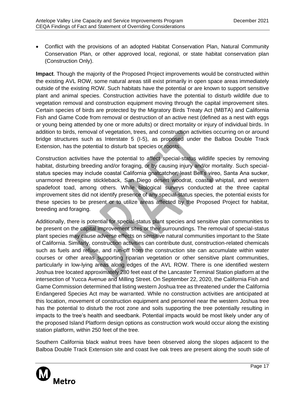• Conflict with the provisions of an adopted Habitat Conservation Plan, Natural Community Conservation Plan, or other approved local, regional, or state habitat conservation plan (Construction Only).

**Impact**. Though the majority of the Proposed Project improvements would be constructed within the existing AVL ROW, some natural areas still exist primarily in open space areas immediately outside of the existing ROW. Such habitats have the potential or are known to support sensitive plant and animal species. Construction activities have the potential to disturb wildlife due to vegetation removal and construction equipment moving through the capital improvement sites. Certain species of birds are protected by the Migratory Birds Treaty Act (MBTA) and California Fish and Game Code from removal or destruction of an active nest (defined as a nest with eggs or young being attended by one or more adults) or direct mortality or injury of individual birds. In addition to birds, removal of vegetation, trees, and construction activities occurring on or around bridge structures such as Interstate 5 (I-5), as proposed under the Balboa Double Track Extension, has the potential to disturb bat species or roosts.

Construction activities have the potential to affect special-status wildlife species by removing habitat, disturbing breeding and/or foraging, or by causing injury and/or mortality. Such specialstatus species may include coastal California gnatcatcher, least Bell's vireo, Santa Ana sucker, unarmored threespine stickleback, San Diego desert woodrat, coastal whiptail, and western spadefoot toad, among others. While biological surveys conducted at the three capital improvement sites did not identify presence of any special-status species, the potential exists for these species to be present or to utilize areas affected by the Proposed Project for habitat, breeding and foraging.

Additionally, there is potential for special-status plant species and sensitive plan communities to be present on the capital improvement sites or their surroundings. The removal of special-status plant species may cause adverse effects on sensitive natural communities important to the State of California. Similarly, construction activities can contribute dust, construction-related chemicals such as fuels and refuse, and run-off from the construction site can accumulate within water courses or other areas supporting riparian vegetation or other sensitive plant communities, particularly in low-lying areas along edges of the AVL ROW. There is one identified western Joshua tree located approximately 280 feet east of the Lancaster Terminal Station platform at the intersection of Yucca Avenue and Milling Street. On September 22, 2020, the California Fish and Game Commission determined that listing western Joshua tree as threatened under the California Endangered Species Act may be warranted. While no construction activities are anticipated at this location, movement of construction equipment and personnel near the western Joshua tree has the potential to disturb the root zone and soils supporting the tree potentially resulting in impacts to the tree's health and seedbank. Potential impacts would be most likely under any of the proposed Island Platform design options as construction work would occur along the existing station platform, within 250 feet of the tree.

Southern California black walnut trees have been observed along the slopes adjacent to the Balboa Double Track Extension site and coast live oak trees are present along the south side of

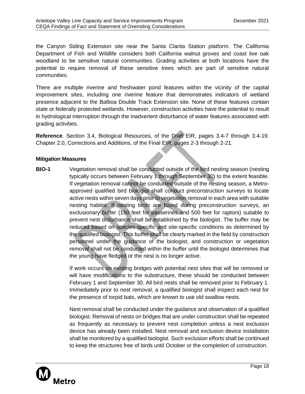the Canyon Siding Extension site near the Santa Clarita Station platform. The California Department of Fish and Wildlife considers both California walnut groves and coast live oak woodland to be sensitive natural communities. Grading activities at both locations have the potential to require removal of these sensitive trees which are part of sensitive natural communities.

There are multiple riverine and freshwater pond features within the vicinity of the capital improvement sites, including one riverine feature that demonstrates indicators of wetland presence adjacent to the Balboa Double Track Extension site. None of these features contain state or federally protected wetlands. However, construction activities have the potential to result in hydrological interruption through the inadvertent disturbance of water features associated with grading activities.

**Reference**. Section 3.4, Biological Resources, of the Draft EIR, pages 3.4-7 through 3.4-19. Chapter 2.0, Corrections and Additions, of the Final EIR, pages 2-3 through 2-21.

#### **Mitigation Measures**

**BIO-1** Vegetation removal shall be conducted outside of the bird nesting season (nesting typically occurs between February 1 through September 30) to the extent feasible. If vegetation removal cannot be conducted outside of the nesting season, a Metroapproved qualified bird biologist shall conduct preconstruction surveys to locate active nests within seven days prior to vegetation removal in each area with suitable nesting habitat. If nesting birds are found during preconstruction surveys, an exclusionary buffer (150 feet for passerines and 500 feet for raptors) suitable to prevent nest disturbance shall be established by the biologist. The buffer may be reduced based on species-specific and site-specific conditions as determined by the qualified biologist. This buffer shall be clearly marked in the field by construction personnel under the guidance of the biologist, and construction or vegetation removal shall not be conducted within the buffer until the biologist determines that the young have fledged or the nest is no longer active.

> If work occurs on existing bridges with potential nest sites that will be removed or will have modifications to the substructure, these should be conducted between February 1 and September 30. All bird nests shall be removed prior to February 1. Immediately prior to nest removal, a qualified biologist shall inspect each nest for the presence of torpid bats, which are known to use old swallow nests.

> Nest removal shall be conducted under the guidance and observation of a qualified biologist. Removal of nests on bridges that are under construction shall be repeated as frequently as necessary to prevent nest completion unless a nest exclusion device has already been installed. Nest removal and exclusion device installation shall be monitored by a qualified biologist. Such exclusion efforts shall be continued to keep the structures free of birds until October or the completion of construction.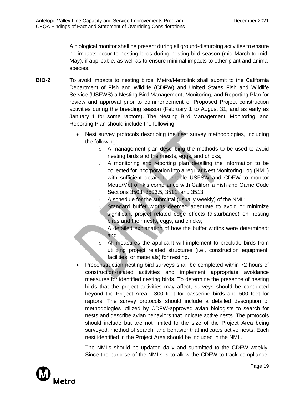A biological monitor shall be present during all ground-disturbing activities to ensure no impacts occur to nesting birds during nesting bird season (mid-March to mid-May), if applicable, as well as to ensure minimal impacts to other plant and animal species.

- **BIO-2** To avoid impacts to nesting birds, Metro/Metrolink shall submit to the California Department of Fish and Wildlife (CDFW) and United States Fish and Wildlife Service (USFWS) a Nesting Bird Management, Monitoring, and Reporting Plan for review and approval prior to commencement of Proposed Project construction activities during the breeding season (February 1 to August 31, and as early as January 1 for some raptors). The Nesting Bird Management, Monitoring, and Reporting Plan should include the following:
	- Nest survey protocols describing the nest survey methodologies, including the following:
		- o A management plan describing the methods to be used to avoid nesting birds and their nests, eggs, and chicks;
		- o A monitoring and reporting plan detailing the information to be collected for incorporation into a regular Nest Monitoring Log (NML) with sufficient details to enable USFSW and CDFW to monitor Metro/Metrolink's compliance with California Fish and Game Code Sections 3503, 3503.5, 3511, and 3513;
		- o A schedule for the submittal (usually weekly) of the NML;
		- o Standard buffer widths deemed adequate to avoid or minimize significant project related edge effects (disturbance) on nesting birds and their nests, eggs, and chicks;
		- o A detailed explanation of how the buffer widths were determined; and
		- o All measures the applicant will implement to preclude birds from utilizing project related structures (i.e., construction equipment, facilities, or materials) for nesting.
	- Preconstruction nesting bird surveys shall be completed within 72 hours of construction-related activities and implement appropriate avoidance measures for identified nesting birds. To determine the presence of nesting birds that the project activities may affect, surveys should be conducted beyond the Project Area - 300 feet for passerine birds and 500 feet for raptors. The survey protocols should include a detailed description of methodologies utilized by CDFW-approved avian biologists to search for nests and describe avian behaviors that indicate active nests. The protocols should include but are not limited to the size of the Project Area being surveyed, method of search, and behavior that indicates active nests. Each nest identified in the Project Area should be included in the NML.

The NMLs should be updated daily and submitted to the CDFW weekly. Since the purpose of the NMLs is to allow the CDFW to track compliance,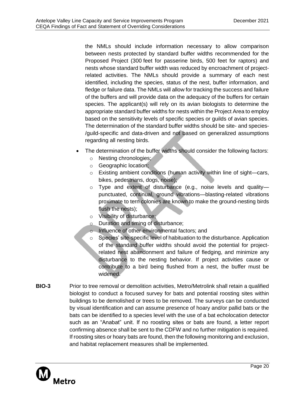the NMLs should include information necessary to allow comparison between nests protected by standard buffer widths recommended for the Proposed Project (300 feet for passerine birds, 500 feet for raptors) and nests whose standard buffer width was reduced by encroachment of projectrelated activities. The NMLs should provide a summary of each nest identified, including the species, status of the nest, buffer information, and fledge or failure data. The NMLs will allow for tracking the success and failure of the buffers and will provide data on the adequacy of the buffers for certain species. The applicant(s) will rely on its avian biologists to determine the appropriate standard buffer widths for nests within the Project Area to employ based on the sensitivity levels of specific species or guilds of avian species. The determination of the standard buffer widths should be site- and species- /guild-specific and data-driven and not based on generalized assumptions regarding all nesting birds.

- The determination of the buffer widths should consider the following factors:
	- o Nesting chronologies;
	- o Geographic location;
	- o Existing ambient conditions (human activity within line of sight—cars, bikes, pedestrians, dogs, noise);
	- o Type and extent of disturbance (e.g., noise levels and quality punctuated, continual, ground vibrations—blasting-related vibrations proximate to tern colonies are known to make the ground-nesting birds flush the nests);
	- o Visibility of disturbance;
	- o Duration and timing of disturbance;
	- o Influence of other environmental factors; and
	- Species' site-specific level of habituation to the disturbance. Application of the standard buffer widths should avoid the potential for projectrelated nest abandonment and failure of fledging, and minimize any disturbance to the nesting behavior. If project activities cause or contribute to a bird being flushed from a nest, the buffer must be widened.
- **BIO-3** Prior to tree removal or demolition activities, Metro/Metrolink shall retain a qualified biologist to conduct a focused survey for bats and potential roosting sites within buildings to be demolished or trees to be removed. The surveys can be conducted by visual identification and can assume presence of hoary and/or pallid bats or the bats can be identified to a species level with the use of a bat echolocation detector such as an "Anabat" unit. If no roosting sites or bats are found, a letter report confirming absence shall be sent to the CDFW and no further mitigation is required. If roosting sites or hoary bats are found, then the following monitoring and exclusion, and habitat replacement measures shall be implemented.

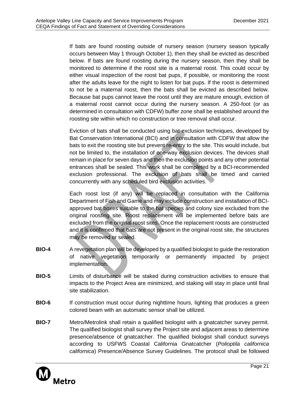If bats are found roosting outside of nursery season (nursery season typically occurs between May 1 through October 1), then they shall be evicted as described below. If bats are found roosting during the nursery season, then they shall be monitored to determine if the roost site is a maternal roost. This could occur by either visual inspection of the roost bat pups, if possible, or monitoring the roost after the adults leave for the night to listen for bat pups. If the roost is determined to not be a maternal roost, then the bats shall be evicted as described below. Because bat pups cannot leave the roost until they are mature enough, eviction of a maternal roost cannot occur during the nursery season. A 250-foot (or as determined in consultation with CDFW) buffer zone shall be established around the roosting site within which no construction or tree removal shall occur.

Eviction of bats shall be conducted using bat exclusion techniques, developed by Bat Conservation International (BCI) and in consultation with CDFW that allow the bats to exit the roosting site but prevent re-entry to the site. This would include, but not be limited to, the installation of one-way exclusion devices. The devices shall remain in place for seven days and then the exclusion points and any other potential entrances shall be sealed. This work shall be completed by a BCI-recommended exclusion professional. The exclusion of bats shall be timed and carried concurrently with any scheduled bird exclusion activities.

Each roost lost (if any) will be replaced in consultation with the California Department of Fish and Game and may include construction and installation of BCIapproved bat boxes suitable to the bat species and colony size excluded from the original roosting site. Roost replacement will be implemented before bats are excluded from the original roost sites. Once the replacement roosts are constructed and it is confirmed that bats are not present in the original roost site, the structures may be removed or sealed.

- **BIO-4** A revegetation plan will be developed by a qualified biologist to guide the restoration of native vegetation temporarily or permanently impacted by project implementation.
- **BIO-5** Limits of disturbance will be staked during construction activities to ensure that impacts to the Project Area are minimized, and staking will stay in place until final site stabilization.
- **BIO-6** If construction must occur during nighttime hours, lighting that produces a green colored beam with an automatic sensor shall be utilized.
- **BIO-7** Metro/Metrolink shall retain a qualified biologist with a gnatcatcher survey permit. The qualified biologist shall survey the Project site and adjacent areas to determine presence/absence of gnatcatcher. The qualified biologist shall conduct surveys according to USFWS Coastal California Gnatcatcher (*Polioptila californica californica*) Presence/Absence Survey Guidelines. The protocol shall be followed

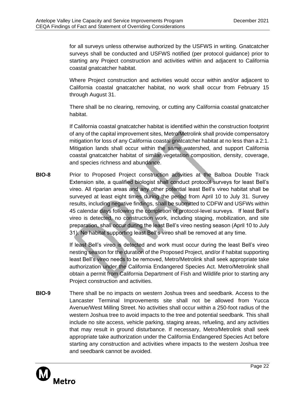for all surveys unless otherwise authorized by the USFWS in writing. Gnatcatcher surveys shall be conducted and USFWS notified (per protocol guidance) prior to starting any Project construction and activities within and adjacent to California coastal gnatcatcher habitat.

Where Project construction and activities would occur within and/or adjacent to California coastal gnatcatcher habitat, no work shall occur from February 15 through August 31.

There shall be no clearing, removing, or cutting any California coastal gnatcatcher habitat.

If California coastal gnatcatcher habitat is identified within the construction footprint of any of the capital improvement sites, Metro/Metrolink shall provide compensatory mitigation for loss of any California coastal gnatcatcher habitat at no less than a 2:1. Mitigation lands shall occur within the same watershed, and support California coastal gnatcatcher habitat of similar vegetation composition, density, coverage, and species richness and abundance.

**BIO-8** Prior to Proposed Project construction activities at the Balboa Double Track Extension site, a qualified biologist shall conduct protocol surveys for least Bell's vireo. All riparian areas and any other potential least Bell's vireo habitat shall be surveyed at least eight times during the period from April 10 to July 31. Survey results, including negative findings, shall be submitted to CDFW and USFWs within 45 calendar days following the completion of protocol-level surveys. If least Bell's vireo is detected, no construction work, including staging, mobilization, and site preparation, shall occur during the least Bell's vireo nesting season (April 10 to July 31). No habitat supporting least Bell's vireo shall be removed at any time.

> If least Bell's vireo is detected and work must occur during the least Bell's vireo nesting season for the duration of the Proposed Project, and/or if habitat supporting least Bell's vireo needs to be removed, Metro/Metrolink shall seek appropriate take authorization under the California Endangered Species Act. Metro/Metrolink shall obtain a permit from California Department of Fish and Wildlife prior to starting any Project construction and activities.

**BIO-9** There shall be no impacts on western Joshua trees and seedbank. Access to the Lancaster Terminal Improvements site shall not be allowed from Yucca Avenue/West Milling Street. No activities shall occur within a 250-foot radius of the western Joshua tree to avoid impacts to the tree and potential seedbank. This shall include no site access, vehicle parking, staging areas, refueling, and any activities that may result in ground disturbance. If necessary, Metro/Metrolink shall seek appropriate take authorization under the California Endangered Species Act before starting any construction and activities where impacts to the western Joshua tree and seedbank cannot be avoided.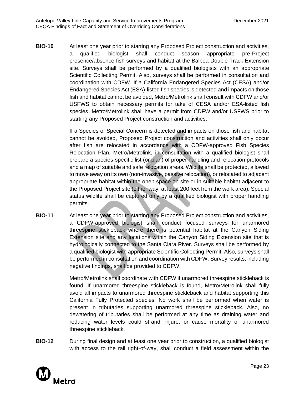**BIO-10** At least one year prior to starting any Proposed Project construction and activities, a qualified biologist shall conduct season appropriate pre-Project presence/absence fish surveys and habitat at the Balboa Double Track Extension site. Surveys shall be performed by a qualified biologists with an appropriate Scientific Collecting Permit. Also, surveys shall be performed in consultation and coordination with CDFW. If a California Endangered Species Act (CESA) and/or Endangered Species Act (ESA)-listed fish species is detected and impacts on those fish and habitat cannot be avoided, Metro/Metrolink shall consult with CDFW and/or USFWS to obtain necessary permits for take of CESA and/or ESA-listed fish species. Metro/Metrolink shall have a permit from CDFW and/or USFWS prior to starting any Proposed Project construction and activities.

> If a Species of Special Concern is detected and impacts on those fish and habitat cannot be avoided, Proposed Project construction and activities shall only occur after fish are relocated in accordance with a CDFW-approved Fish Species Relocation Plan. Metro/Metrolink, in consultation with a qualified biologist shall prepare a species-specific list (or plan) of proper handling and relocation protocols and a map of suitable and safe relocation areas. Wildlife shall be protected, allowed to move away on its own (non-invasive, passive relocation), or relocated to adjacent appropriate habitat within the open space on site or in suitable habitat adjacent to the Proposed Project site (either way, at least 200 feet from the work area). Special status wildlife shall be captured only by a qualified biologist with proper handling permits.

**BIO-11** At least one year prior to starting any Proposed Project construction and activities, a CDFW-approved biologist shall conduct focused surveys for unarmored threespine stickleback where there is potential habitat at the Canyon Siding Extension site and any locations within the Canyon Siding Extension site that is hydrologically connected to the Santa Clara River. Surveys shall be performed by a qualified biologist with appropriate Scientific Collecting Permit. Also, surveys shall be performed in consultation and coordination with CDFW. Survey results, including negative findings, shall be provided to CDFW.

> Metro/Metrolink shall coordinate with CDFW if unarmored threespine stickleback is found. If unarmored threespine stickleback is found, Metro/Metrolink shall fully avoid all impacts to unarmored threespine stickleback and habitat supporting this California Fully Protected species. No work shall be performed when water is present in tributaries supporting unarmored threespine stickleback. Also, no dewatering of tributaries shall be performed at any time as draining water and reducing water levels could strand, injure, or cause mortality of unarmored threespine stickleback.

**BIO-12** During final design and at least one year prior to construction, a qualified biologist with access to the rail right-of-way, shall conduct a field assessment within the

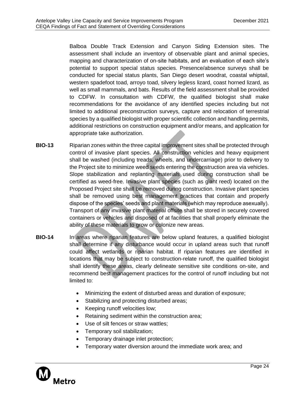Balboa Double Track Extension and Canyon Siding Extension sites. The assessment shall include an inventory of observable plant and animal species, mapping and characterization of on-site habitats, and an evaluation of each site's potential to support special status species. Presence/absence surveys shall be conducted for special status plants, San Diego desert woodrat, coastal whiptail, western spadefoot toad, arroyo toad, silvery legless lizard, coast horned lizard, as well as small mammals, and bats. Results of the field assessment shall be provided to CDFW. In consultation with CDFW, the qualified biologist shall make recommendations for the avoidance of any identified species including but not limited to additional preconstruction surveys, capture and relocation of terrestrial species by a qualified biologist with proper scientific collection and handling permits, additional restrictions on construction equipment and/or means, and application for appropriate take authorization.

- **BIO-13** Riparian zones within the three capital improvement sites shall be protected through control of invasive plant species. All construction vehicles and heavy equipment shall be washed (including treads, wheels, and undercarriage) prior to delivery to the Project site to minimize weed seeds entering the construction area via vehicles. Slope stabilization and replanting materials used during construction shall be certified as weed-free. Invasive plant species (such as giant reed) located on the Proposed Project site shall be removed during construction. Invasive plant species shall be removed using best management practices that contain and properly dispose of the species' seeds and plant materials (which may reproduce asexually). Transport of any invasive plant material offsite shall be stored in securely covered containers or vehicles and disposed of at facilities that shall properly eliminate the ability of these materials to grow or colonize new areas.
- **BIO-14** In areas where riparian features are below upland features, a qualified biologist shall determine if any disturbance would occur in upland areas such that runoff could affect wetlands or riparian habitat. If riparian features are identified in locations that may be subject to construction-relate runoff, the qualified biologist shall identify these areas, clearly delineate sensitive site conditions on-site, and recommend best management practices for the control of runoff including but not limited to:
	- Minimizing the extent of disturbed areas and duration of exposure;
	- Stabilizing and protecting disturbed areas;
	- Keeping runoff velocities low;
	- Retaining sediment within the construction area;
	- Use of silt fences or straw wattles;
	- Temporary soil stabilization;
	- Temporary drainage inlet protection;
	- Temporary water diversion around the immediate work area; and

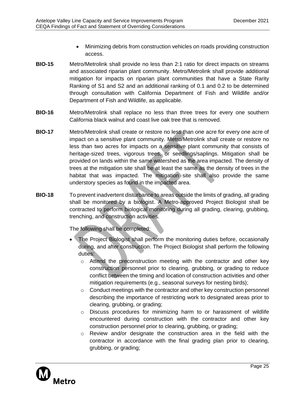- Minimizing debris from construction vehicles on roads providing construction access.
- **BIO-15** Metro/Metrolink shall provide no less than 2:1 ratio for direct impacts on streams and associated riparian plant community. Metro/Metrolink shall provide additional mitigation for impacts on riparian plant communities that have a State Rarity Ranking of S1 and S2 and an additional ranking of 0.1 and 0.2 to be determined through consultation with California Department of Fish and Wildlife and/or Department of Fish and Wildlife, as applicable.
- **BIO-16** Metro/Metrolink shall replace no less than three trees for every one southern California black walnut and coast live oak tree that is removed.
- **BIO-17** Metro/Metrolink shall create or restore no less than one acre for every one acre of impact on a sensitive plant community. Metro/Metrolink shall create or restore no less than two acres for impacts on a sensitive plant community that consists of heritage-sized trees, vigorous trees, or seedlings/saplings. Mitigation shall be provided on lands within the same watershed as the area impacted. The density of trees at the mitigation site shall be at least the same as the density of trees in the habitat that was impacted. The mitigation site shall also provide the same understory species as found in the impacted area.
- **BIO-18** To prevent inadvertent disturbance to areas outside the limits of grading, all grading shall be monitored by a biologist. A Metro-approved Project Biologist shall be contracted to perform biological monitoring during all grading, clearing, grubbing, trenching, and construction activities.

The following shall be completed:

- The Project Biologist shall perform the monitoring duties before, occasionally during, and after construction. The Project Biologist shall perform the following duties:
	- $\circ$  Attend the preconstruction meeting with the contractor and other key construction personnel prior to clearing, grubbing, or grading to reduce conflict between the timing and location of construction activities and other mitigation requirements (e.g., seasonal surveys for nesting birds);
	- o Conduct meetings with the contractor and other key construction personnel describing the importance of restricting work to designated areas prior to clearing, grubbing, or grading;
	- o Discuss procedures for minimizing harm to or harassment of wildlife encountered during construction with the contractor and other key construction personnel prior to clearing, grubbing, or grading;
	- $\circ$  Review and/or designate the construction area in the field with the contractor in accordance with the final grading plan prior to clearing, grubbing, or grading;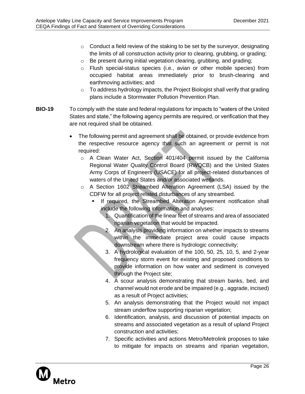- o Conduct a field review of the staking to be set by the surveyor, designating the limits of all construction activity prior to clearing, grubbing, or grading;
- o Be present during initial vegetation clearing, grubbing, and grading;
- o Flush special-status species (i.e., avian or other mobile species) from occupied habitat areas immediately prior to brush-clearing and earthmoving activities; and
- o To address hydrology impacts, the Project Biologist shall verify that grading plans include a Stormwater Pollution Prevention Plan.
- **BIO-19** To comply with the state and federal regulations for impacts to "waters of the United States and state," the following agency permits are required, or verification that they are not required shall be obtained.
	- The following permit and agreement shall be obtained, or provide evidence from the respective resource agency that such an agreement or permit is not required:
		- o A Clean Water Act, Section 401/404 permit issued by the California Regional Water Quality Control Board (RWQCB) and the United States Army Corps of Engineers (USACE) for all project-related disturbances of waters of the United States and/or associated wetlands.
		- o A Section 1602 Streambed Alteration Agreement (LSA) issued by the CDFW for all project related disturbances of any streambed.
			- If required, the Streambed Alteration Agreement notification shall include the following information and analyses:
				- 1. Quantification of the linear feet of streams and area of associated riparian vegetation that would be impacted.
				- 2. An analysis providing information on whether impacts to streams within the immediate project area could cause impacts downstream where there is hydrologic connectivity;
				- 3. A hydrological evaluation of the 100, 50, 25, 10, 5, and 2-year frequency storm event for existing and proposed conditions to provide information on how water and sediment is conveyed through the Project site;
				- 4. A scour analysis demonstrating that stream banks, bed, and channel would not erode and be impaired (e.g., aggrade, incised) as a result of Project activities;
				- 5. An analysis demonstrating that the Project would not impact stream underflow supporting riparian vegetation;
				- 6. Identification, analysis, and discussion of potential impacts on streams and associated vegetation as a result of upland Project construction and activities;
				- 7. Specific activities and actions Metro/Metrolink proposes to take to mitigate for impacts on streams and riparian vegetation,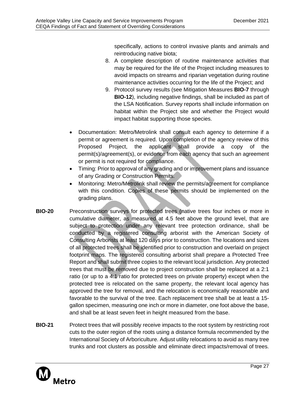specifically, actions to control invasive plants and animals and reintroducing native biota;

- 8. A complete description of routine maintenance activities that may be required for the life of the Project including measures to avoid impacts on streams and riparian vegetation during routine maintenance activities occurring for the life of the Project; and
- 9. Protocol survey results (see Mitigation Measures **BIO-7** through **BIO-12**), including negative findings, shall be included as part of the LSA Notification. Survey reports shall include information on habitat within the Project site and whether the Project would impact habitat supporting those species.
- Documentation: Metro/Metrolink shall consult each agency to determine if a permit or agreement is required. Upon completion of the agency review of this Proposed Project, the applicant shall provide a copy of the permit(s)/agreement(s), or evidence from each agency that such an agreement or permit is not required for compliance.
- Timing: Prior to approval of any grading and or improvement plans and issuance of any Grading or Construction Permits.
- Monitoring: Metro/Metrolink shall review the permits/agreement for compliance with this condition. Copies of these permits should be implemented on the grading plans.
- **BIO-20** Preconstruction surveys for protected trees (native trees four inches or more in cumulative diameter, as measured at 4.5 feet above the ground level, that are subject to protection under any relevant tree protection ordinance, shall be conducted by a registered consulting arborist with the American Society of Consulting Arborists at least 120 days prior to construction. The locations and sizes of all protected trees shall be identified prior to construction and overlaid on project footprint maps. The registered consulting arborist shall prepare a Protected Tree Report and shall submit three copies to the relevant local jurisdiction. Any protected trees that must be removed due to project construction shall be replaced at a 2:1 ratio (or up to a 4:1 ratio for protected trees on private property) except when the protected tree is relocated on the same property, the relevant local agency has approved the tree for removal, and the relocation is economically reasonable and favorable to the survival of the tree. Each replacement tree shall be at least a 15 gallon specimen, measuring one inch or more in diameter, one foot above the base, and shall be at least seven feet in height measured from the base.
- **BIO-21** Protect trees that will possibly receive impacts to the root system by restricting root cuts to the outer region of the roots using a distance formula recommended by the International Society of Arboriculture. Adjust utility relocations to avoid as many tree trunks and root clusters as possible and eliminate direct impacts/removal of trees.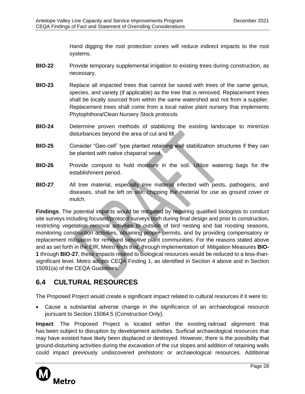Hand digging the root protection zones will reduce indirect impacts to the root systems.

- **BIO-22** Provide temporary supplemental irrigation to existing trees during construction, as necessary.
- **BIO-23** Replace all impacted trees that cannot be saved with trees of the same genus, species, and variety (if applicable) as the tree that is removed. Replacement trees shall be locally sourced from within the same watershed and not from a supplier. Replacement trees shall come from a local native plant nursery that implements Phytophthora/Clean Nursery Stock protocols
- **BIO-24** Determine proven methods of stabilizing the existing landscape to minimize disturbances beyond the area of cut and fill.
- **BIO-25** Consider "Geo-cell" type planted retaining wall stabilization structures if they can be planted with native chaparral seed.
- **BIO-26** Provide compost to hold moisture in the soil. Utilize watering bags for the establishment period.
- **BIO-27** All tree material, especially tree material infected with pests, pathogens, and diseases, shall be left on site, chipping the material for use as ground cover or mulch.

**Findings**. The potential impacts would be mitigated by requiring qualified biologists to conduct site surveys including focused/protocol surveys both during final design and prior to construction, restricting vegetation removal activities to outside of bird nesting and bat roosting seasons, monitoring construction activities, obtaining proper permits, and by providing compensatory or replacement mitigation for removed sensitive plant communities. For the reasons stated above and as set forth in the EIR, Metro finds that, through implementation of Mitigation Measures **BIO-1** through **BIO-27**, these impacts related to biological resources would be reduced to a less-thansignificant level. Metro adopts CEQA Finding 1, as identified in Section 4 above and in Section 15091(a) of the CEQA Guidelines.

## <span id="page-30-0"></span>**6.4 CULTURAL RESOURCES**

The Proposed Project would create a significant impact related to cultural resources if it were to:

• Cause a substantial adverse change in the significance of an archaeological resource pursuant to Section 15064.5 (Construction Only).

**Impact**. The Proposed Project is located within the existing railroad alignment that has been subject to disruption by development activities. Surficial archaeological resources that may have existed have likely been displaced or destroyed. However, there is the possibility that ground‐disturbing activities during the excavation of the cut slopes and addition of retaining walls could impact previously undiscovered prehistoric or archaeological resources. Additional

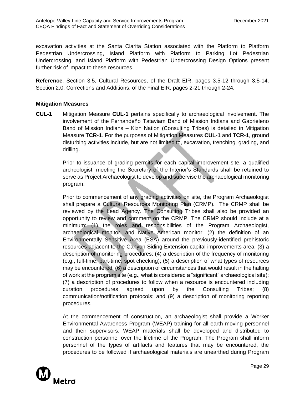excavation activities at the Santa Clarita Station associated with the Platform to Platform Pedestrian Undercrossing, Island Platform with Platform to Parking Lot Pedestrian Undercrossing, and Island Platform with Pedestrian Undercrossing Design Options present further risk of impact to these resources.

**Reference**. Section 3.5, Cultural Resources, of the Draft EIR, pages 3.5-12 through 3.5-14. Section 2.0, Corrections and Additions, of the Final EIR, pages 2-21 through 2-24.

#### **Mitigation Measures**

**CUL-1** Mitigation Measure **CUL-1** pertains specifically to archaeological involvement. The involvement of the Fernandeño Tataviam Band of Mission Indians and Gabrieleno Band of Mission Indians – Kizh Nation (Consulting Tribes) is detailed in Mitigation Measure **TCR-1**. For the purposes of Mitigation Measures **CUL-1** and **TCR-1**, ground disturbing activities include, but are not limited to, excavation, trenching, grading, and drilling.

> Prior to issuance of grading permits for each capital improvement site, a qualified archeologist, meeting the Secretary of the Interior's Standards shall be retained to serve as Project Archaeologist to develop and supervise the archaeological monitoring program.

> Prior to commencement of any grading activities on site, the Program Archaeologist shall prepare a Cultural Resources Monitoring Plan (CRMP). The CRMP shall be reviewed by the Lead Agency. The Consulting Tribes shall also be provided an opportunity to review and comment on the CRMP. The CRMP should include at a minimum: (1) the roles and responsibilities of the Program Archaeologist, archaeological monitor, and Native American monitor; (2) the definition of an Environmentally Sensitive Area (ESA) around the previously-identified prehistoric resources adjacent to the Canyon Siding Extension capital improvements area, (3) a description of monitoring procedures; (4) a description of the frequency of monitoring (e.g., full-time, part-time, spot checking); (5) a description of what types of resources may be encountered; (6) a description of circumstances that would result in the halting of work at the program site (e.g., what is considered a "significant" archaeological site); (7) a description of procedures to follow when a resource is encountered including curation procedures agreed upon by the Consulting Tribes; (8) communication/notification protocols; and (9) a description of monitoring reporting procedures.

> At the commencement of construction, an archaeologist shall provide a Worker Environmental Awareness Program (WEAP) training for all earth moving personnel and their supervisors. WEAP materials shall be developed and distributed to construction personnel over the lifetime of the Program. The Program shall inform personnel of the types of artifacts and features that may be encountered, the procedures to be followed if archaeological materials are unearthed during Program

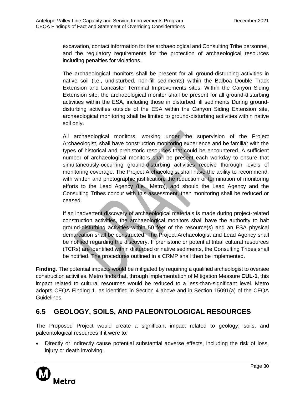excavation, contact information for the archaeological and Consulting Tribe personnel, and the regulatory requirements for the protection of archaeological resources including penalties for violations.

The archaeological monitors shall be present for all ground-disturbing activities in native soil (i.e., undisturbed, non-fill sediments) within the Balboa Double Track Extension and Lancaster Terminal Improvements sites. Within the Canyon Siding Extension site, the archaeological monitor shall be present for all ground-disturbing activities within the ESA, including those in disturbed fill sediments During grounddisturbing activities outside of the ESA within the Canyon Siding Extension site, archaeological monitoring shall be limited to ground-disturbing activities within native soil only.

All archaeological monitors, working under the supervision of the Project Archaeologist, shall have construction monitoring experience and be familiar with the types of historical and prehistoric resources that could be encountered. A sufficient number of archaeological monitors shall be present each workday to ensure that simultaneously-occurring ground-disturbing activities receive thorough levels of monitoring coverage. The Project Archaeologist shall have the ability to recommend, with written and photographic justification, the reduction or termination of monitoring efforts to the Lead Agency (i.e., Metro), and should the Lead Agency and the Consulting Tribes concur with this assessment, then monitoring shall be reduced or ceased.

If an inadvertent discovery of archaeological materials is made during project-related construction activities, the archaeological monitors shall have the authority to halt ground-disturbing activities within 50 feet of the resource(s) and an ESA physical demarcation shall be constructed. The Project Archaeologist and Lead Agency shall be notified regarding the discovery. If prehistoric or potential tribal cultural resources (TCRs) are identified within disturbed or native sediments, the Consulting Tribes shall be notified. The procedures outlined in a CRMP shall then be implemented.

**Finding**. The potential impacts would be mitigated by requiring a qualified archeologist to oversee construction activities. Metro finds that, through implementation of Mitigation Measure **CUL-1**, this impact related to cultural resources would be reduced to a less-than-significant level. Metro adopts CEQA Finding 1, as identified in Section 4 above and in Section 15091(a) of the CEQA Guidelines.

## <span id="page-32-0"></span>**6.5 GEOLOGY, SOILS, AND PALEONTOLOGICAL RESOURCES**

The Proposed Project would create a significant impact related to geology, soils, and paleontological resources if it were to:

• Directly or indirectly cause potential substantial adverse effects, including the risk of loss, injury or death involving:

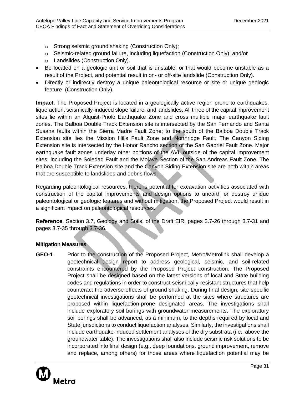- o Strong seismic ground shaking (Construction Only);
- $\circ$  Seismic-related ground failure, including liquefaction (Construction Only); and/or
- o Landslides (Construction Only).
- Be located on a geologic unit or soil that is unstable, or that would become unstable as a result of the Project, and potential result in on- or off-site landslide (Construction Only).
- Directly or indirectly destroy a unique paleontological resource or site or unique geologic feature (Construction Only).

**Impact**. The Proposed Project is located in a geologically active region prone to earthquakes, liquefaction, seismically-induced slope failure, and landslides. All three of the capital improvement sites lie within an Alquist-Priolo Earthquake Zone and cross multiple major earthquake fault zones. The Balboa Double Track Extension site is intersected by the San Fernando and Santa Susana faults within the Sierra Madre Fault Zone; to the south of the Balboa Double Track Extension site lies the Mission Hills Fault Zone and Northridge Fault. The Canyon Siding Extension site is intersected by the Honor Rancho section of the San Gabriel Fault Zone. Major earthquake fault zones underlay other portions of the AVL outside of the capital improvement sites, including the Soledad Fault and the Mojave Section of the San Andreas Fault Zone. The Balboa Double Track Extension site and the Canyon Siding Extension site are both within areas that are susceptible to landslides and debris flows.

Regarding paleontological resources, there is potential for excavation activities associated with construction of the capital improvements and design options to unearth or destroy unique paleontological or geologic features and without mitigation, the Proposed Project would result in a significant impact on paleontological resources.

**Reference**. Section 3.7, Geology and Soils, of the Draft EIR, pages 3.7-26 through 3.7-31 and pages 3.7-35 through 3.7-36.

## **Mitigation Measures**

**GEO-1** Prior to the construction of the Proposed Project, Metro/Metrolink shall develop a geotechnical design report to address geological, seismic, and soil-related constraints encountered by the Proposed Project construction. The Proposed Project shall be designed based on the latest versions of local and State building codes and regulations in order to construct seismically-resistant structures that help counteract the adverse effects of ground shaking. During final design, site-specific geotechnical investigations shall be performed at the sites where structures are proposed within liquefaction-prone designated areas. The investigations shall include exploratory soil borings with groundwater measurements. The exploratory soil borings shall be advanced, as a minimum, to the depths required by local and State jurisdictions to conduct liquefaction analyses. Similarly, the investigations shall include earthquake-induced settlement analyses of the dry substrata (i.e., above the groundwater table). The investigations shall also include seismic risk solutions to be incorporated into final design (e.g., deep foundations, ground improvement, remove and replace, among others) for those areas where liquefaction potential may be

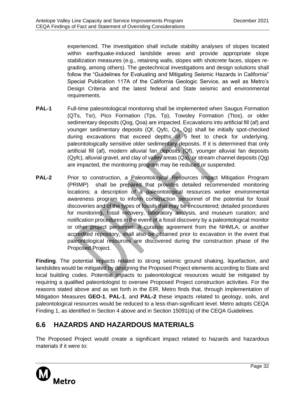experienced. The investigation shall include stability analyses of slopes located within earthquake-induced landslide areas and provide appropriate slope stabilization measures (e.g., retaining walls, slopes with shotcrete faces, slopes regrading, among others). The geotechnical investigations and design solutions shall follow the "Guidelines for Evaluating and Mitigating Seismic Hazards in California" Special Publication 117A of the California Geologic Service, as well as Metro's Design Criteria and the latest federal and State seismic and environmental requirements.

- **PAL-1** Full-time paleontological monitoring shall be implemented when Saugus Formation (QTs, Tsr), Pico Formation (Tps, Tp), Towsley Formation (Ttos), or older sedimentary deposits (Qog, Qoa) are impacted. Excavations into artificial fill (af) and younger sedimentary deposits (Qf, Qyfc, Qa, Qg) shall be initially spot-checked during excavations that exceed depths of 5 feet to check for underlying, paleontologically sensitive older sedimentary deposits. If it is determined that only artificial fill (af), modern alluvial fan deposits (Qf), younger alluvial fan deposits (Qyfc), alluvial gravel, and clay of valley areas (Qa), or stream channel deposits (Qg) are impacted, the monitoring program may be reduced or suspended.
- **PAL-2** Prior to construction, a Paleontological Resources Impact Mitigation Program (PRIMP) shall be prepared that provides detailed recommended monitoring locations; a description of a paleontological resources worker environmental awareness program to inform construction personnel of the potential for fossil discoveries and of the types of fossils that may be encountered; detailed procedures for monitoring, fossil recovery, laboratory analysis, and museum curation; and notification procedures in the event of a fossil discovery by a paleontological monitor or other project personnel. A curation agreement from the NHMLA, or another accredited repository, shall also be obtained prior to excavation in the event that paleontological resources are discovered during the construction phase of the Proposed Project.

**Finding**. The potential impacts related to strong seismic ground shaking, liquefaction, and landslides would be mitigated by designing the Proposed Project elements according to State and local building codes. Potential impacts to paleontological resources would be mitigated by requiring a qualified paleontologist to oversee Proposed Project construction activities. For the reasons stated above and as set forth in the EIR, Metro finds that, through implementation of Mitigation Measures **GEO-1**, **PAL-1**, and **PAL-2** these impacts related to geology, soils, and paleontological resources would be reduced to a less-than-significant level. Metro adopts CEQA Finding 1, as identified in Section 4 above and in Section 15091(a) of the CEQA Guidelines.

## <span id="page-34-0"></span>**6.6 HAZARDS AND HAZARDOUS MATERIALS**

The Proposed Project would create a significant impact related to hazards and hazardous materials if it were to:

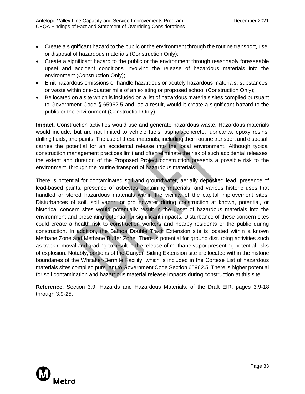- Create a significant hazard to the public or the environment through the routine transport, use, or disposal of hazardous materials (Construction Only);
- Create a significant hazard to the public or the environment through reasonably foreseeable upset and accident conditions involving the release of hazardous materials into the environment (Construction Only);
- Emit hazardous emissions or handle hazardous or acutely hazardous materials, substances, or waste within one-quarter mile of an existing or proposed school (Construction Only);
- Be located on a site which is included on a list of hazardous materials sites compiled pursuant to Government Code § 65962.5 and, as a result, would it create a significant hazard to the public or the environment (Construction Only).

**Impact**. Construction activities would use and generate hazardous waste. Hazardous materials would include, but are not limited to vehicle fuels, asphalt/concrete, lubricants, epoxy resins, drilling fluids, and paints. The use of these materials, including their routine transport and disposal, carries the potential for an accidental release into the local environment. Although typical construction management practices limit and often eliminate the risk of such accidental releases, the extent and duration of the Proposed Project construction presents a possible risk to the environment, through the routine transport of hazardous materials.

There is potential for contaminated soil and groundwater, aerially deposited lead, presence of lead-based paints, presence of asbestos containing materials, and various historic uses that handled or stored hazardous materials within the vicinity of the capital improvement sites. Disturbances of soil, soil vapor, or groundwater during construction at known, potential, or historical concern sites would potentially result in the upset of hazardous materials into the environment and presenting potential for significant impacts. Disturbance of these concern sites could create a health risk to construction workers and nearby residents or the public during construction. In addition, the Balboa Double Track Extension site is located within a known Methane Zone and Methane Buffer Zone. There is potential for ground disturbing activities such as track removal and grading to result in the release of methane vapor presenting potential risks of explosion. Notably, portions of the Canyon Siding Extension site are located within the historic boundaries of the Whitaker-Bermite Facility, which is included in the Cortese List of hazardous materials sites compiled pursuant to Government Code Section 65962.5. There is higher potential for soil contamination and hazardous material release impacts during construction at this site.

**Reference**. Section 3.9, Hazards and Hazardous Materials, of the Draft EIR, pages 3.9-18 through 3.9-25.

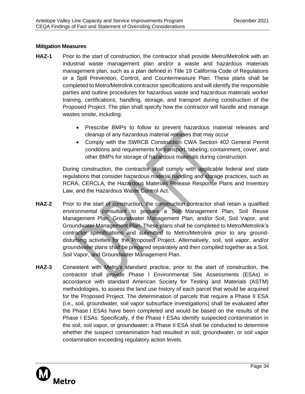### **Mitigation Measures**

- **HAZ-1** Prior to the start of construction, the contractor shall provide Metro/Metrolink with an industrial waste management plan and/or a waste and hazardous materials management plan, such as a plan defined in Title 19 California Code of Regulations or a Spill Prevention, Control, and Countermeasure Plan. These plans shall be completed to Metro/Metrolink contractor specifications and will identify the responsible parties and outline procedures for hazardous waste and hazardous materials worker training, certifications, handling, storage, and transport during construction of the Proposed Project. The plan shall specify how the contractor will handle and manage wastes onsite, including:
	- Prescribe BMPs to follow to prevent hazardous material releases and cleanup of any hazardous material releases that may occur
	- Comply with the SWRCB Construction CWA Section 402 General Permit conditions and requirements for transport, labeling, containment, cover, and other BMPs for storage of hazardous materials during construction.

During construction, the contractor shall comply with applicable federal and state regulations that consider hazardous material handling and storage practices, such as RCRA, CERCLA, the Hazardous Materials Release Response Plans and Inventory Law, and the Hazardous Waste Control Act.

- **HAZ-2** Prior to the start of construction, the construction contractor shall retain a qualified environmental consultant to prepare a Soil Management Plan, Soil Reuse Management Plan, Groundwater Management Plan, and/or Soil, Soil Vapor, and Groundwater Management Plan. These plans shall be completed to Metro/Metrolink's contractor specifications and submitted to Metro/Metrolink prior to any grounddisturbing activities for the Proposed Project. Alternatively, soil, soil vapor, and/or groundwater plans shall be prepared separately and then compiled together as a Soil, Soil Vapor, and Groundwater Management Plan.
- **HAZ-3** Consistent with Metro's standard practice, prior to the start of construction, the contractor shall provide Phase I Environmental Site Assessments (ESAs) in accordance with standard American Society for Testing and Materials (ASTM) methodologies, to assess the land use history of each parcel that would be acquired for the Proposed Project. The determination of parcels that require a Phase II ESA (i.e., soil, groundwater, soil vapor subsurface investigations) shall be evaluated after the Phase I ESAs have been completed and would be based on the results of the Phase I ESAs. Specifically, if the Phase I ESAs identify suspected contamination in the soil, soil vapor, or groundwater; a Phase II ESA shall be conducted to determine whether the suspect contamination had resulted in soil, groundwater, or soil vapor contamination exceeding regulatory action levels.

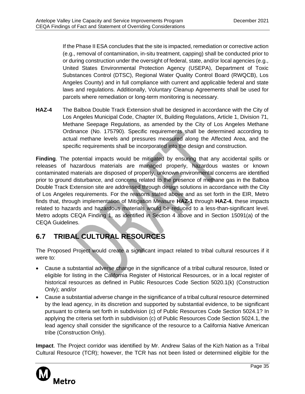If the Phase II ESA concludes that the site is impacted, remediation or corrective action (e.g., removal of contamination, in-situ treatment, capping) shall be conducted prior to or during construction under the oversight of federal, state, and/or local agencies (e.g., United States Environmental Protection Agency (USEPA), Department of Toxic Substances Control (DTSC), Regional Water Quality Control Board (RWQCB), Los Angeles County) and in full compliance with current and applicable federal and state laws and regulations. Additionally, Voluntary Cleanup Agreements shall be used for parcels where remediation or long-term monitoring is necessary.

**HAZ-4** The Balboa Double Track Extension shall be designed in accordance with the City of Los Angeles Municipal Code, Chapter IX, Building Regulations, Article 1, Division 71, Methane Seepage Regulations, as amended by the City of Los Angeles Methane Ordinance (No. 175790). Specific requirements shall be determined according to actual methane levels and pressures measured along the Affected Area, and the specific requirements shall be incorporated into the design and construction.

**Finding**. The potential impacts would be mitigated by ensuring that any accidental spills or releases of hazardous materials are managed properly, hazardous wastes or known contaminated materials are disposed of properly, unknown environmental concerns are identified prior to ground disturbance, and concerns related to the presence of methane gas in the Balboa Double Track Extension site are addressed through design solutions in accordance with the City of Los Angeles requirements. For the reasons stated above and as set forth in the EIR, Metro finds that, through implementation of Mitigation Measure **HAZ-1** through **HAZ-4**, these impacts related to hazards and hazardous materials would be reduced to a less-than-significant level. Metro adopts CEQA Finding 1, as identified in Section 4 above and in Section 15091(a) of the CEQA Guidelines.

## <span id="page-37-0"></span>**6.7 TRIBAL CULTURAL RESOURCES**

The Proposed Project would create a significant impact related to tribal cultural resources if it were to:

- Cause a substantial adverse change in the significance of a tribal cultural resource, listed or eligible for listing in the California Register of Historical Resources, or in a local register of historical resources as defined in Public Resources Code Section 5020.1(k) (Construction Only); and/or
- Cause a substantial adverse change in the significance of a tribal cultural resource determined by the lead agency, in its discretion and supported by substantial evidence, to be significant pursuant to criteria set forth in subdivision (c) of Public Resources Code Section 5024.1? In applying the criteria set forth in subdivision (c) of Public Resources Code Section 5024.1, the lead agency shall consider the significance of the resource to a California Native American tribe (Construction Only).

**Impact**. The Project corridor was identified by Mr. Andrew Salas of the Kizh Nation as a Tribal Cultural Resource (TCR); however, the TCR has not been listed or determined eligible for the

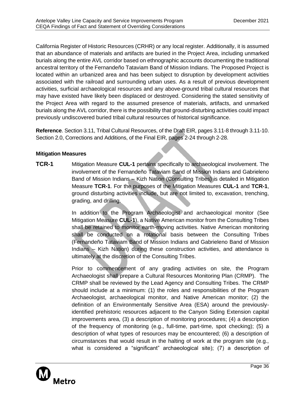California Register of Historic Resources (CRHR) or any local register. Additionally, it is assumed that an abundance of materials and artifacts are buried in the Project Area, including unmarked burials along the entire AVL corridor based on ethnographic accounts documenting the traditional ancestral territory of the Fernandeño Tataviam Band of Mission Indians. The Proposed Project is located within an urbanized area and has been subject to disruption by development activities associated with the railroad and surrounding urban uses. As a result of previous development activities, surficial archaeological resources and any above-ground tribal cultural resources that may have existed have likely been displaced or destroyed. Considering the stated sensitivity of the Project Area with regard to the assumed presence of materials, artifacts, and unmarked burials along the AVL corridor, there is the possibility that ground‐disturbing activities could impact previously undiscovered buried tribal cultural resources of historical significance.

**Reference**. Section 3.11, Tribal Cultural Resources, of the Draft EIR, pages 3.11-8 through 3.11-10. Section 2.0, Corrections and Additions, of the Final EIR, pages 2-24 through 2-28.

## **Mitigation Measures**

**TCR-1** Mitigation Measure **CUL-1** pertains specifically to archaeological involvement. The involvement of the Fernandeño Tataviam Band of Mission Indians and Gabrieleno Band of Mission Indians – Kizh Nation (Consulting Tribes) is detailed in Mitigation Measure **TCR-1**. For the purposes of the Mitigation Measures **CUL-1** and **TCR-1**, ground disturbing activities include, but are not limited to, excavation, trenching, grading, and drilling.

> In addition to the Program Archaeologist and archaeological monitor (See Mitigation Measure **CUL-1**), a Native American monitor from the Consulting Tribes shall be retained to monitor earth-moving activities. Native American monitoring shall be conducted on a rotational basis between the Consulting Tribes (Fernandeño Tataviam Band of Mission Indians and Gabrieleno Band of Mission Indians – Kizh Nation) during these construction activities, and attendance is ultimately at the discretion of the Consulting Tribes.

> Prior to commencement of any grading activities on site, the Program Archaeologist shall prepare a Cultural Resources Monitoring Plan (CRMP). The CRMP shall be reviewed by the Lead Agency and Consulting Tribes. The CRMP should include at a minimum: (1) the roles and responsibilities of the Program Archaeologist, archaeological monitor, and Native American monitor; (2) the definition of an Environmentally Sensitive Area (ESA) around the previouslyidentified prehistoric resources adjacent to the Canyon Siding Extension capital improvements area, (3) a description of monitoring procedures; (4) a description of the frequency of monitoring (e.g., full-time, part-time, spot checking); (5) a description of what types of resources may be encountered; (6) a description of circumstances that would result in the halting of work at the program site (e.g., what is considered a "significant" archaeological site); (7) a description of

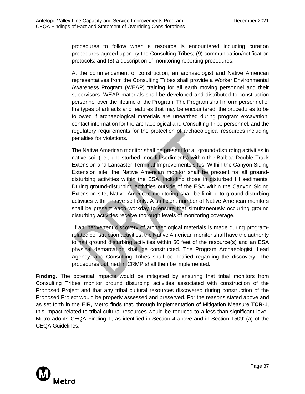procedures to follow when a resource is encountered including curation procedures agreed upon by the Consulting Tribes; (9) communication/notification protocols; and (8) a description of monitoring reporting procedures.

At the commencement of construction, an archaeologist and Native American representatives from the Consulting Tribes shall provide a Worker Environmental Awareness Program (WEAP) training for all earth moving personnel and their supervisors. WEAP materials shall be developed and distributed to construction personnel over the lifetime of the Program. The Program shall inform personnel of the types of artifacts and features that may be encountered, the procedures to be followed if archaeological materials are unearthed during program excavation, contact information for the archaeological and Consulting Tribe personnel, and the regulatory requirements for the protection of archaeological resources including penalties for violations.

The Native American monitor shall be present for all ground-disturbing activities in native soil (i.e., undisturbed, non-fill sediments) within the Balboa Double Track Extension and Lancaster Terminal Improvements sites. Within the Canyon Siding Extension site, the Native American monitor shall be present for all grounddisturbing activities within the ESA, including those in disturbed fill sediments. During ground-disturbing activities outside of the ESA within the Canyon Siding Extension site, Native American monitoring shall be limited to ground-disturbing activities within native soil only. A sufficient number of Native American monitors shall be present each workday to ensure that simultaneously occurring ground disturbing activities receive thorough levels of monitoring coverage.

If an inadvertent discovery of archaeological materials is made during programrelated construction activities, the Native American monitor shall have the authority to halt ground disturbing activities within 50 feet of the resource(s) and an ESA physical demarcation shall be constructed. The Program Archaeologist, Lead Agency, and Consulting Tribes shall be notified regarding the discovery. The procedures outlined in CRMP shall then be implemented.

**Finding**. The potential impacts would be mitigated by ensuring that tribal monitors from Consulting Tribes monitor ground disturbing activities associated with construction of the Proposed Project and that any tribal cultural resources discovered during construction of the Proposed Project would be properly assessed and preserved. For the reasons stated above and as set forth in the EIR, Metro finds that, through implementation of Mitigation Measure **TCR-1**, this impact related to tribal cultural resources would be reduced to a less-than-significant level. Metro adopts CEQA Finding 1, as identified in Section 4 above and in Section 15091(a) of the CEQA Guidelines.

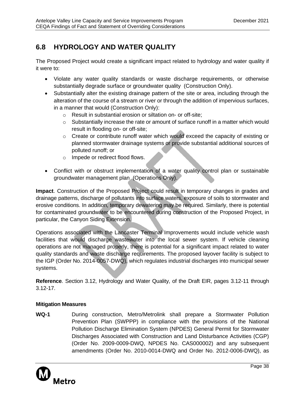## <span id="page-40-0"></span>**6.8 HYDROLOGY AND WATER QUALITY**

The Proposed Project would create a significant impact related to hydrology and water quality if it were to:

- Violate any water quality standards or waste discharge requirements, or otherwise substantially degrade surface or groundwater quality (Construction Only).
- Substantially alter the existing drainage pattern of the site or area, including through the alteration of the course of a stream or river or through the addition of impervious surfaces, in a manner that would (Construction Only):
	- o Result in substantial erosion or siltation on- or off-site;
	- o Substantially increase the rate or amount of surface runoff in a matter which would result in flooding on- or off-site;
	- $\circ$  Create or contribute runoff water which would exceed the capacity of existing or planned stormwater drainage systems or provide substantial additional sources of polluted runoff; or
	- o Impede or redirect flood flows.
- Conflict with or obstruct implementation of a water quality control plan or sustainable groundwater management plan (Operations Only).

**Impact**. Construction of the Proposed Project could result in temporary changes in grades and drainage patterns, discharge of pollutants into surface waters, exposure of soils to stormwater and erosive conditions. In addition, temporary dewatering may be required. Similarly, there is potential for contaminated groundwater to be encountered during construction of the Proposed Project, in particular, the Canyon Siding Extension.

Operations associated with the Lancaster Terminal Improvements would include vehicle wash facilities that would discharge wastewater into the local sewer system. If vehicle cleaning operations are not managed properly, there is potential for a significant impact related to water quality standards and waste discharge requirements. The proposed layover facility is subject to the IGP (Order No. 2014-0057-DWQ), which regulates industrial discharges into municipal sewer systems.

**Reference**. Section 3.12, Hydrology and Water Quality, of the Draft EIR, pages 3.12-11 through 3.12-17.

## **Mitigation Measures**

**WQ-1** During construction, Metro/Metrolink shall prepare a Stormwater Pollution Prevention Plan (SWPPP) in compliance with the provisions of the National Pollution Discharge Elimination System (NPDES) General Permit for Stormwater Discharges Associated with Construction and Land Disturbance Activities (CGP) (Order No. 2009-0009-DWQ, NPDES No. CAS000002) and any subsequent amendments (Order No. 2010-0014-DWQ and Order No. 2012-0006-DWQ), as

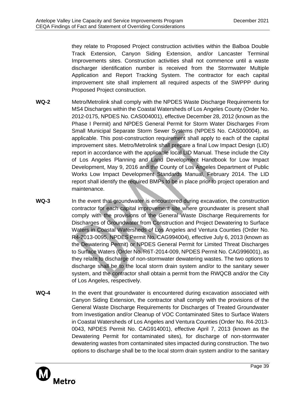they relate to Proposed Project construction activities within the Balboa Double Track Extension, Canyon Siding Extension, and/or Lancaster Terminal Improvements sites. Construction activities shall not commence until a waste discharger identification number is received from the Stormwater Multiple Application and Report Tracking System. The contractor for each capital improvement site shall implement all required aspects of the SWPPP during Proposed Project construction.

- **WQ-2** Metro/Metrolink shall comply with the NPDES Waste Discharge Requirements for MS4 Discharges within the Coastal Watersheds of Los Angeles County (Order No. 2012-0175, NPDES No. CAS004001), effective December 28, 2012 (known as the Phase I Permit) and NPDES General Permit for Storm Water Discharges From Small Municipal Separate Storm Sewer Systems (NPDES No. CAS000004), as applicable. This post-construction requirement shall apply to each of the capital improvement sites. Metro/Metrolink shall prepare a final Low Impact Design (LID) report in accordance with the applicable local LID Manual. These include the City of Los Angeles Planning and Land Development Handbook for Low Impact Development, May 9, 2016 and the County of Los Angeles Department of Public Works Low Impact Development Standards Manual, February 2014. The LID report shall identify the required BMPs to be in place prior to project operation and maintenance.
- **WQ-3** In the event that groundwater is encountered during excavation, the construction contractor for each capital improvement site where groundwater is present shall comply with the provisions of the General Waste Discharge Requirements for Discharges of Groundwater from Construction and Project Dewatering to Surface Waters in Coastal Watersheds of Los Angeles and Ventura Counties (Order No. R4-2013-0095, NPDES Permit No. CAG994004), effective July 6, 2013 (known as the Dewatering Permit) or NPDES General Permit for Limited Threat Discharges to Surface Waters (Order No. R6T-2014-009, NPDES Permit No. CAG996001), as they relate to discharge of non-stormwater dewatering wastes. The two options to discharge shall be to the local storm drain system and/or to the sanitary sewer system, and the contractor shall obtain a permit from the RWQCB and/or the City of Los Angeles, respectively.
- **WQ-4** In the event that groundwater is encountered during excavation associated with Canyon Siding Extension, the contractor shall comply with the provisions of the General Waste Discharge Requirements for Discharges of Treated Groundwater from Investigation and/or Cleanup of VOC Contaminated Sites to Surface Waters in Coastal Watersheds of Los Angeles and Ventura Counties (Order No. R4-2013- 0043, NPDES Permit No. CAG914001), effective April 7, 2013 (known as the Dewatering Permit for contaminated sites), for discharge of non-stormwater dewatering wastes from contaminated sites impacted during construction. The two options to discharge shall be to the local storm drain system and/or to the sanitary

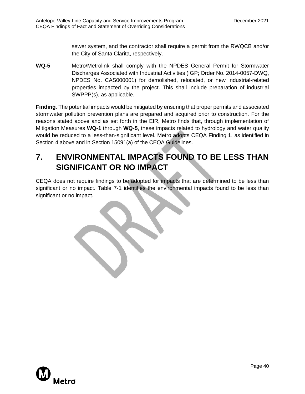sewer system, and the contractor shall require a permit from the RWQCB and/or the City of Santa Clarita, respectively.

**WQ-5** Metro/Metrolink shall comply with the NPDES General Permit for Stormwater Discharges Associated with Industrial Activities (IGP; Order No. 2014-0057-DWQ, NPDES No. CAS000001) for demolished, relocated, or new industrial-related properties impacted by the project. This shall include preparation of industrial SWPPP(s), as applicable.

**Finding**. The potential impacts would be mitigated by ensuring that proper permits and associated stormwater pollution prevention plans are prepared and acquired prior to construction. For the reasons stated above and as set forth in the EIR, Metro finds that, through implementation of Mitigation Measures **WQ-1** through **WQ-5**, these impacts related to hydrology and water quality would be reduced to a less-than-significant level. Metro adopts CEQA Finding 1, as identified in Section 4 above and in Section 15091(a) of the CEQA Guidelines.

# <span id="page-42-0"></span>**7. ENVIRONMENTAL IMPACTS FOUND TO BE LESS THAN SIGNIFICANT OR NO IMPACT**

CEQA does not require findings to be adopted for impacts that are determined to be less than significant or no impact. Table 7-1 identifies the environmental impacts found to be less than significant or no impact.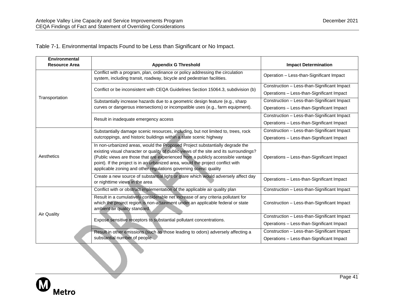$\bigcup$ 

Table 7-1. Environmental Impacts Found to be Less than Significant or No Impact.

| <b>Environmental</b><br><b>Resource Area</b> | <b>Appendix G Threshold</b>                                                                                                                                                                                                                                                                                                                                                                                      | <b>Impact Determination</b>                 |
|----------------------------------------------|------------------------------------------------------------------------------------------------------------------------------------------------------------------------------------------------------------------------------------------------------------------------------------------------------------------------------------------------------------------------------------------------------------------|---------------------------------------------|
|                                              |                                                                                                                                                                                                                                                                                                                                                                                                                  |                                             |
|                                              | Conflict with a program, plan, ordinance or policy addressing the circulation<br>system, including transit, roadway, bicycle and pedestrian facilities.                                                                                                                                                                                                                                                          | Operation - Less-than-Significant Impact    |
|                                              | Conflict or be inconsistent with CEQA Guidelines Section 15064.3, subdivision (b)                                                                                                                                                                                                                                                                                                                                | Construction - Less-than-Significant Impact |
|                                              |                                                                                                                                                                                                                                                                                                                                                                                                                  | Operations - Less-than-Significant Impact   |
| Transportation                               | Substantially increase hazards due to a geometric design feature (e.g., sharp                                                                                                                                                                                                                                                                                                                                    | Construction - Less-than-Significant Impact |
|                                              | curves or dangerous intersections) or incompatible uses (e.g., farm equipment).                                                                                                                                                                                                                                                                                                                                  | Operations - Less-than-Significant Impact   |
|                                              | Result in inadequate emergency access                                                                                                                                                                                                                                                                                                                                                                            | Construction - Less-than-Significant Impact |
|                                              |                                                                                                                                                                                                                                                                                                                                                                                                                  | Operations - Less-than-Significant Impact   |
|                                              | Substantially damage scenic resources, including, but not limited to, trees, rock<br>outcroppings, and historic buildings within a state scenic highway                                                                                                                                                                                                                                                          | Construction - Less-than-Significant Impact |
|                                              |                                                                                                                                                                                                                                                                                                                                                                                                                  | Operations - Less-than-Significant Impact   |
| Aesthetics                                   | In non-urbanized areas, would the Proposed Project substantially degrade the<br>existing visual character or quality of public views of the site and its surroundings?<br>(Public views are those that are experienced from a publicly accessible vantage<br>point). If the project is in an urbanized area, would the project conflict with<br>applicable zoning and other regulations governing scenic quality | Operations - Less-than-Significant Impact   |
|                                              | Create a new source of substantial light or glare which would adversely affect day<br>or nighttime views in the area                                                                                                                                                                                                                                                                                             | Operations - Less-than-Significant Impact   |
|                                              | Conflict with or obstruct implementation of the applicable air quality plan                                                                                                                                                                                                                                                                                                                                      | Construction - Less-than-Significant Impact |
|                                              | Result in a cumulatively considerable net increase of any criteria pollutant for<br>which the project region is non-attainment under an applicable federal or state<br>ambient air quality standard.                                                                                                                                                                                                             | Construction - Less-than-Significant Impact |
| <b>Air Quality</b>                           | Expose sensitive receptors to substantial pollutant concentrations.                                                                                                                                                                                                                                                                                                                                              | Construction - Less-than-Significant Impact |
|                                              |                                                                                                                                                                                                                                                                                                                                                                                                                  | Operations - Less-than-Significant Impact   |
|                                              | Result in other emissions (such as those leading to odors) adversely affecting a<br>substantial number of people                                                                                                                                                                                                                                                                                                 | Construction - Less-than-Significant Impact |
|                                              |                                                                                                                                                                                                                                                                                                                                                                                                                  | Operations - Less-than-Significant Impact   |

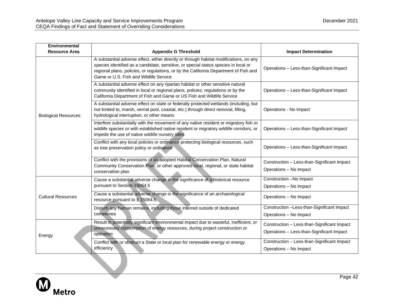| Environmental               |                                                                                                                                                                                                                                                                                                                  |                                                                       |
|-----------------------------|------------------------------------------------------------------------------------------------------------------------------------------------------------------------------------------------------------------------------------------------------------------------------------------------------------------|-----------------------------------------------------------------------|
| <b>Resource Area</b>        | <b>Appendix G Threshold</b>                                                                                                                                                                                                                                                                                      | <b>Impact Determination</b>                                           |
|                             | A substantial adverse effect, either directly or through habitat modifications, on any<br>species identified as a candidate, sensitive, or special status species in local or<br>regional plans, policies, or regulations, or by the California Department of Fish and<br>Game or U.S. Fish and Wildlife Service | Operations - Less-than-Significant Impact                             |
|                             | A substantial adverse effect on any riparian habitat or other sensitive natural<br>community identified in local or regional plans, policies, regulations or by the<br>California Department of Fish and Game or US Fish and Wildlife Service                                                                    | Operations - Less-than-Significant Impact                             |
| <b>Biological Resources</b> | A substantial adverse effect on state or federally protected wetlands (including, but<br>not limited to, marsh, vernal pool, coastal, etc.) through direct removal, filling,<br>hydrological interruption, or other means                                                                                        | Operations - No Impact                                                |
|                             | Interfere substantially with the movement of any native resident or migratory fish or<br>wildlife species or with established native resident or migratory wildlife corridors, or<br>impede the use of native wildlife nursery sites                                                                             | Operations - Less-than-Significant Impact                             |
|                             | Conflict with any local policies or ordinance protecting biological resources, such<br>as tree preservation policy or ordinance                                                                                                                                                                                  | Operations - Less-than-Significant Impact                             |
|                             | Conflict with the provisions of an adopted Habitat Conservation Plan, Natural<br>Community Conservation Plan, or other approved local, regional, or state habitat<br>conservation plan                                                                                                                           | Construction - Less-than-Significant Impact<br>Operations - No Impact |
|                             | Cause a substantial adverse change in the significance of a historical resource<br>pursuant to Section 15064.5                                                                                                                                                                                                   | Construction -No Impact                                               |
|                             |                                                                                                                                                                                                                                                                                                                  | Operations - No Impact                                                |
| <b>Cultural Resources</b>   | Cause a substantial adverse change in the significance of an archaeological<br>resource pursuant to $\S$ 15064.5                                                                                                                                                                                                 | Operations - No Impact                                                |
|                             | Disturb any human remains, including those interred outside of dedicated<br>cemeteries                                                                                                                                                                                                                           | Construction -Less-than-Significant Impact                            |
|                             |                                                                                                                                                                                                                                                                                                                  | Operations - No Impact                                                |
|                             | Result in potentially significant environmental impact due to wasteful, inefficient, or<br>unnecessary consumption of energy resources, during project construction or<br>operation<br>Conflict with or obstruct a State or local plan for renewable energy or energy                                            | Construction - Less-than-Significant Impact                           |
| Energy                      |                                                                                                                                                                                                                                                                                                                  | Operations - Less-than-Significant Impact                             |
|                             |                                                                                                                                                                                                                                                                                                                  | Construction - Less-than-Significant Impact                           |
|                             | efficiency                                                                                                                                                                                                                                                                                                       | Operations - No Impact                                                |

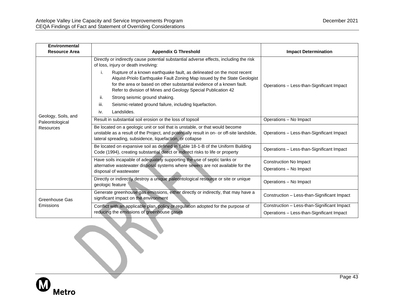| <b>Environmental</b>                   |                                                                                                                                                                                                                                                                                                   |                                                                                          |
|----------------------------------------|---------------------------------------------------------------------------------------------------------------------------------------------------------------------------------------------------------------------------------------------------------------------------------------------------|------------------------------------------------------------------------------------------|
| <b>Resource Area</b>                   | <b>Appendix G Threshold</b>                                                                                                                                                                                                                                                                       | <b>Impact Determination</b>                                                              |
|                                        | Directly or indirectly cause potential substantial adverse effects, including the risk<br>of loss, injury or death involving:                                                                                                                                                                     |                                                                                          |
|                                        | i.<br>Rupture of a known earthquake fault, as delineated on the most recent<br>Alquist-Priolo Earthquake Fault Zoning Map issued by the State Geologist<br>for the area or based on other substantial evidence of a known fault.<br>Refer to division of Mines and Geology Special Publication 42 | Operations - Less-than-Significant Impact                                                |
|                                        | ii.<br>Strong seismic ground shaking.                                                                                                                                                                                                                                                             |                                                                                          |
|                                        | Seismic-related ground failure, including liquefaction.<br>iii.                                                                                                                                                                                                                                   |                                                                                          |
|                                        | Landslides.<br>iv.                                                                                                                                                                                                                                                                                |                                                                                          |
| Geology, Soils, and<br>Paleontological | Result in substantial soil erosion or the loss of topsoil                                                                                                                                                                                                                                         | Operations - No Impact                                                                   |
| <b>Resources</b>                       | Be located on a geologic unit or soil that is unstable, or that would become<br>unstable as a result of the Project, and potentially result in on- or off-site landslide,<br>lateral spreading, subsidence, liquefaction, or collapse                                                             | Operations - Less-than-Significant Impact                                                |
|                                        | Be located on expansive soil as defined in Table 18-1-B of the Uniform Building<br>Code (1994), creating substantial direct or indirect risks to life or property                                                                                                                                 | Operations - Less-than-Significant Impact                                                |
|                                        | Have soils incapable of adequately supporting the use of septic tanks or                                                                                                                                                                                                                          | Construction No Impact                                                                   |
|                                        | alternative wastewater disposal systems where sewers are not available for the<br>disposal of wastewater                                                                                                                                                                                          | Operations - No Impact                                                                   |
|                                        | Directly or indirectly destroy a unique paleontological resource or site or unique<br>geologic feature                                                                                                                                                                                            | Operations - No Impact                                                                   |
| Greenhouse Gas                         | Generate greenhouse gas emissions, either directly or indirectly, that may have a<br>significant impact on the environment                                                                                                                                                                        | Construction - Less-than-Significant Impact                                              |
| Emissions                              | Conflict with an applicable plan, policy or regulation adopted for the purpose of<br>reducing the emissions of greenhouse gases                                                                                                                                                                   | Construction - Less-than-Significant Impact<br>Operations - Less-than-Significant Impact |

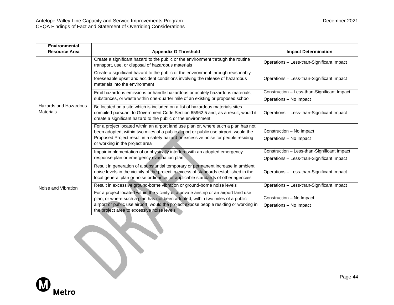| Environmental                             |                                                                                                                                                                                                                                                                                                                |                                                    |
|-------------------------------------------|----------------------------------------------------------------------------------------------------------------------------------------------------------------------------------------------------------------------------------------------------------------------------------------------------------------|----------------------------------------------------|
| <b>Resource Area</b>                      | <b>Appendix G Threshold</b>                                                                                                                                                                                                                                                                                    | <b>Impact Determination</b>                        |
|                                           | Create a significant hazard to the public or the environment through the routine<br>transport, use, or disposal of hazardous materials                                                                                                                                                                         | Operations - Less-than-Significant Impact          |
|                                           | Create a significant hazard to the public or the environment through reasonably<br>foreseeable upset and accident conditions involving the release of hazardous<br>materials into the environment                                                                                                              | Operations - Less-than-Significant Impact          |
|                                           | Emit hazardous emissions or handle hazardous or acutely hazardous materials,                                                                                                                                                                                                                                   | Construction - Less-than-Significant Impact        |
|                                           | substances, or waste within one-quarter mile of an existing or proposed school                                                                                                                                                                                                                                 | Operations - No Impact                             |
| Hazards and Hazardous<br><b>Materials</b> | Be located on a site which is included on a list of hazardous materials sites<br>compiled pursuant to Government Code Section 65962.5 and, as a result, would it<br>create a significant hazard to the public or the environment                                                                               | Operations - Less-than-Significant Impact          |
|                                           | For a project located within an airport land use plan or, where such a plan has not                                                                                                                                                                                                                            |                                                    |
|                                           | been adopted, within two miles of a public airport or public use airport, would the                                                                                                                                                                                                                            | Construction - No Impact                           |
|                                           | Proposed Project result in a safety hazard or excessive noise for people residing<br>or working in the project area                                                                                                                                                                                            | Operations - No Impact                             |
|                                           | Impair implementation of or physically interfere with an adopted emergency                                                                                                                                                                                                                                     | Construction - Less-than-Significant Impact        |
|                                           | response plan or emergency evacuation plan                                                                                                                                                                                                                                                                     | Operations - Less-than-Significant Impact          |
|                                           | Result in generation of a substantial temporary or permanent increase in ambient<br>noise levels in the vicinity of the project in excess of standards established in the<br>local general plan or noise ordinance, or applicable standards of other agencies                                                  | Operations - Less-than-Significant Impact          |
| Noise and Vibration                       | Result in excessive ground-borne vibration or ground-borne noise levels                                                                                                                                                                                                                                        | Operations - Less-than-Significant Impact          |
|                                           | For a project located within the vicinity of a private airstrip or an airport land use<br>plan, or where such a plan has not been adopted, within two miles of a public<br>airport or public use airport, would the project expose people residing or working in<br>the project area to excessive noise levels | Construction - No Impact<br>Operations - No Impact |

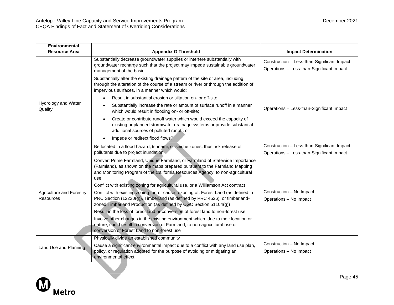| Environmental                                |                                                                                                                                                                                                                                                                                                                                                                                                                                                                                                                                                                                                                                                                                                                                                                                                                                                                                         |                                                                                          |
|----------------------------------------------|-----------------------------------------------------------------------------------------------------------------------------------------------------------------------------------------------------------------------------------------------------------------------------------------------------------------------------------------------------------------------------------------------------------------------------------------------------------------------------------------------------------------------------------------------------------------------------------------------------------------------------------------------------------------------------------------------------------------------------------------------------------------------------------------------------------------------------------------------------------------------------------------|------------------------------------------------------------------------------------------|
| <b>Resource Area</b>                         | <b>Appendix G Threshold</b>                                                                                                                                                                                                                                                                                                                                                                                                                                                                                                                                                                                                                                                                                                                                                                                                                                                             | <b>Impact Determination</b>                                                              |
|                                              | Substantially decrease groundwater supplies or interfere substantially with<br>groundwater recharge such that the project may impede sustainable groundwater<br>management of the basin.                                                                                                                                                                                                                                                                                                                                                                                                                                                                                                                                                                                                                                                                                                | Construction - Less-than-Significant Impact<br>Operations - Less-than-Significant Impact |
|                                              | Substantially alter the existing drainage pattern of the site or area, including<br>through the alteration of the course of a stream or river or through the addition of<br>impervious surfaces, in a manner which would:                                                                                                                                                                                                                                                                                                                                                                                                                                                                                                                                                                                                                                                               |                                                                                          |
|                                              | Result in substantial erosion or siltation on- or off-site;                                                                                                                                                                                                                                                                                                                                                                                                                                                                                                                                                                                                                                                                                                                                                                                                                             |                                                                                          |
| Hydrology and Water<br>Quality               | Substantially increase the rate or amount of surface runoff in a manner<br>which would result in flooding on- or off-site;                                                                                                                                                                                                                                                                                                                                                                                                                                                                                                                                                                                                                                                                                                                                                              | Operations - Less-than-Significant Impact                                                |
|                                              | Create or contribute runoff water which would exceed the capacity of<br>existing or planned stormwater drainage systems or provide substantial<br>additional sources of polluted runoff; or                                                                                                                                                                                                                                                                                                                                                                                                                                                                                                                                                                                                                                                                                             |                                                                                          |
|                                              | Impede or redirect flood flows?                                                                                                                                                                                                                                                                                                                                                                                                                                                                                                                                                                                                                                                                                                                                                                                                                                                         |                                                                                          |
|                                              | Be located in a flood hazard, tsunami, or seiche zones, thus risk release of                                                                                                                                                                                                                                                                                                                                                                                                                                                                                                                                                                                                                                                                                                                                                                                                            | Construction - Less-than-Significant Impact                                              |
|                                              | pollutants due to project inundation                                                                                                                                                                                                                                                                                                                                                                                                                                                                                                                                                                                                                                                                                                                                                                                                                                                    | Operations - Less-than-Significant Impact                                                |
| Agriculture and Forestry<br><b>Resources</b> | Convert Prime Farmland, Unique Farmland, or Farmland of Statewide Importance<br>(Farmland), as shown on the maps prepared pursuant to the Farmland Mapping<br>and Monitoring Program of the California Resources Agency, to non-agricultural<br>use<br>Conflict with existing zoning for agricultural use, or a Williamson Act contract<br>Conflict with existing zoning for, or cause rezoning of, Forest Land (as defined in<br>PRC Section (12220(g)), Timberland (as defined by PRC 4526), or timberland-<br>zoned Timberland Production (as defined by CGC Section 51104(g))<br>Result in the loss of forest land or conversion of forest land to non-forest use<br>Involve other changes in the existing environment which, due to their location or<br>nature, could result in conversion of Farmland, to non-agricultural use or<br>conversion of Forest Land to non-forest use | Construction - No Impact<br>Operations - No Impact                                       |
| Land Use and Planning                        | Physically divide an established community<br>Cause a significant environmental impact due to a conflict with any land use plan,<br>policy, or regulation adopted for the purpose of avoiding or mitigating an<br>environmental effect                                                                                                                                                                                                                                                                                                                                                                                                                                                                                                                                                                                                                                                  | Construction - No Impact<br>Operations - No Impact                                       |

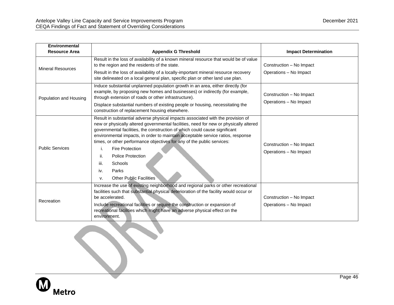| <b>Environmental</b>     |                                                                                                                                                                                                                                                                                                                                                                                                                                                                                                                                                                   |                                                    |
|--------------------------|-------------------------------------------------------------------------------------------------------------------------------------------------------------------------------------------------------------------------------------------------------------------------------------------------------------------------------------------------------------------------------------------------------------------------------------------------------------------------------------------------------------------------------------------------------------------|----------------------------------------------------|
| <b>Resource Area</b>     | <b>Appendix G Threshold</b>                                                                                                                                                                                                                                                                                                                                                                                                                                                                                                                                       | <b>Impact Determination</b>                        |
| <b>Mineral Resources</b> | Result in the loss of availability of a known mineral resource that would be of value<br>to the region and the residents of the state.<br>Result in the loss of availability of a locally-important mineral resource recovery<br>site delineated on a local general plan, specific plan or other land use plan.                                                                                                                                                                                                                                                   | Construction - No Impact<br>Operations - No Impact |
| Population and Housing   | Induce substantial unplanned population growth in an area, either directly (for<br>example, by proposing new homes and businesses) or indirectly (for example,<br>through extension of roads or other infrastructure).<br>Displace substantial numbers of existing people or housing, necessitating the<br>construction of replacement housing elsewhere.                                                                                                                                                                                                         | Construction - No Impact<br>Operations - No Impact |
| <b>Public Services</b>   | Result in substantial adverse physical impacts associated with the provision of<br>new or physically altered governmental facilities, need for new or physically altered<br>governmental facilities, the construction of which could cause significant<br>environmental impacts, in order to maintain acceptable service ratios, response<br>times, or other performance objectives for any of the public services:<br><b>Fire Protection</b><br>i.<br>ii.<br><b>Police Protection</b><br>iii.<br>Schools<br>iv.<br>Parks<br><b>Other Public Facilities</b><br>v. | Construction - No Impact<br>Operations - No Impact |
| Recreation               | Increase the use of existing neighborhood and regional parks or other recreational<br>facilities such that substantial physical deterioration of the facility would occur or<br>be accelerated.<br>Include recreational facilities or require the construction or expansion of<br>recreational facilities which might have an adverse physical effect on the<br>environment.                                                                                                                                                                                      | Construction - No Impact<br>Operations - No Impact |



 $\mathcal{L}$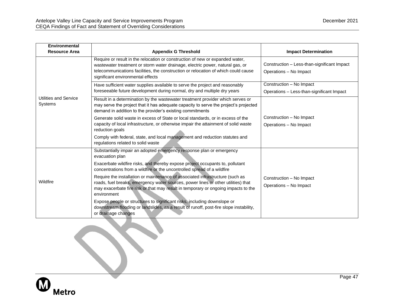10

| <b>Environmental</b>             |                                                                                                                                                                                                                                                                                           |                                                                       |
|----------------------------------|-------------------------------------------------------------------------------------------------------------------------------------------------------------------------------------------------------------------------------------------------------------------------------------------|-----------------------------------------------------------------------|
| <b>Resource Area</b>             | <b>Appendix G Threshold</b>                                                                                                                                                                                                                                                               | <b>Impact Determination</b>                                           |
|                                  | Require or result in the relocation or construction of new or expanded water,<br>wastewater treatment or storm water drainage, electric power, natural gas, or<br>telecommunications facilities, the construction or relocation of which could cause<br>significant environmental effects | Construction - Less-than-significant Impact<br>Operations - No Impact |
|                                  | Have sufficient water supplies available to serve the project and reasonably<br>foreseeable future development during normal, dry and multiple dry years                                                                                                                                  | Construction - No Impact<br>Operations - Less-than-significant Impact |
| Utilities and Service<br>Systems | Result in a determination by the wastewater treatment provider which serves or<br>may serve the project that it has adequate capacity to serve the project's projected<br>demand in addition to the provider's existing commitments                                                       |                                                                       |
|                                  | Generate solid waste in excess of State or local standards, or in excess of the                                                                                                                                                                                                           | Construction - No Impact                                              |
|                                  | capacity of local infrastructure, or otherwise impair the attainment of solid waste<br>reduction goals                                                                                                                                                                                    | Operations - No Impact                                                |
|                                  | Comply with federal, state, and local management and reduction statutes and<br>regulations related to solid waste                                                                                                                                                                         |                                                                       |
|                                  | Substantially impair an adopted emergency response plan or emergency<br>evacuation plan                                                                                                                                                                                                   |                                                                       |
|                                  | Exacerbate wildfire risks, and thereby expose project occupants to, pollutant<br>concentrations from a wildfire or the uncontrolled spread of a wildfire                                                                                                                                  |                                                                       |
| Wildfire                         | Require the installation or maintenance of associated infrastructure (such as<br>roads, fuel breaks, emergency water sources, power lines or other utilities) that<br>may exacerbate fire risk or that may result in temporary or ongoing impacts to the<br>environment                   | Construction - No Impact<br>Operations - No Impact                    |
|                                  | Expose people or structures to significant risks, including downslope or<br>downstream flooding or landslides, as a result of runoff, post-fire slope instability,<br>or drainage changes                                                                                                 |                                                                       |

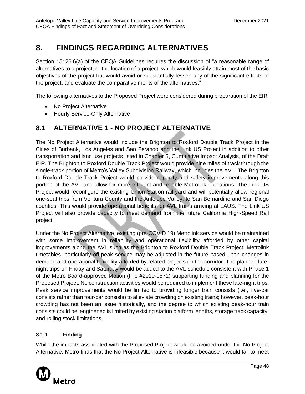# <span id="page-50-0"></span>**8. FINDINGS REGARDING ALTERNATIVES**

Section 15126.6(a) of the CEQA Guidelines requires the discussion of "a reasonable range of alternatives to a project, or the location of a project, which would feasibly attain most of the basic objectives of the project but would avoid or substantially lessen any of the significant effects of the project, and evaluate the comparative merits of the alternatives."

The following alternatives to the Proposed Project were considered during preparation of the EIR:

- No Project Alternative
- Hourly Service-Only Alternative

## <span id="page-50-1"></span>**8.1 ALTERNATIVE 1 - NO PROJECT ALTERNATIVE**

The No Project Alternative would include the Brighton to Roxford Double Track Project in the Cities of Burbank, Los Angeles and San Ferando and the Link US Project in addition to other transportation and land use projects listed in Chapter 5, Cumulative Impact Analysis, of the Draft EIR. The Brighton to Roxford Double Track Project would provide nine miles of track through the single-track portion of Metro's Valley Subdivision Railway, which includes the AVL. The Brighton to Roxford Double Track Project would provide capacity and safety improvements along this portion of the AVL and allow for more efficient and reliable Metrolink operations. The Link US Project would reconfigure the existing Union Station rail yard and will potentially allow regional one-seat trips from Ventura County and the Antelope Valley, to San Bernardino and San Diego counties. This would provide operational benefits for AVL trains arriving at LAUS. The Link US Project will also provide capacity to meet demand from the future California High-Speed Rail project.

Under the No Project Alternative, existing (pre-COVID 19) Metrolink service would be maintained with some improvement in reliability and operational flexibility afforded by other capital improvements along the AVL such as the Brighton to Roxford Double Track Project. Metrolink timetables, particularly off-peak service may be adjusted in the future based upon changes in demand and operational flexibility afforded by related projects on the corridor. The planned latenight trips on Friday and Saturday would be added to the AVL schedule consistent with Phase 1 of the Metro Board-approved Motion (File #2019-0571) supporting funding and planning for the Proposed Project. No construction activities would be required to implement these late-night trips. Peak service improvements would be limited to providing longer train consists (i.e., five-car consists rather than four-car consists) to alleviate crowding on existing trains; however, peak-hour crowding has not been an issue historically, and the degree to which existing peak-hour train consists could be lengthened is limited by existing station platform lengths, storage track capacity, and rolling stock limitations.

## **8.1.1 Finding**

While the impacts associated with the Proposed Project would be avoided under the No Project Alternative, Metro finds that the No Project Alternative is infeasible because it would fail to meet

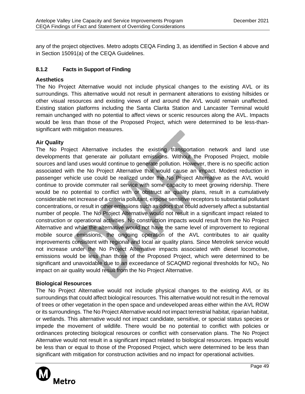any of the project objectives. Metro adopts CEQA Finding 3, as identified in Section 4 above and in Section 15091(a) of the CEQA Guidelines.

## **8.1.2 Facts in Support of Finding**

## **Aesthetics**

The No Project Alternative would not include physical changes to the existing AVL or its surroundings. This alternative would not result in permanent alterations to existing hillsides or other visual resources and existing views of and around the AVL would remain unaffected. Existing station platforms including the Santa Clarita Station and Lancaster Terminal would remain unchanged with no potential to affect views or scenic resources along the AVL. Impacts would be less than those of the Proposed Project, which were determined to be less-thansignificant with mitigation measures.

## **Air Quality**

The No Project Alternative includes the existing transportation network and land use developments that generate air pollutant emissions. Without the Proposed Project, mobile sources and land uses would continue to generate pollution. However, there is no specific action associated with the No Project Alternative that would cause an impact. Modest reduction in passenger vehicle use could be realized under the No Project Alternative as the AVL would continue to provide commuter rail service with some capacity to meet growing ridership. There would be no potential to conflict with or obstruct air quality plans, result in a cumulatively considerable net increase of a criteria pollutant, expose sensitive receptors to substantial pollutant concentrations, or result in other emissions such as odors that could adversely affect a substantial number of people. The No Project Alternative would not result in a significant impact related to construction or operational activities. No construction impacts would result from the No Project Alternative and while the alternative would not have the same level of improvement to regional mobile source emissions, the ongoing operation of the AVL contributes to air quality improvements consistent with regional and local air quality plans. Since Metrolink service would not increase under the No Project Alternative impacts associated with diesel locomotive, emissions would be less than those of the Proposed Project, which were determined to be significant and unavoidable due to an exceedance of SCAQMD regional thresholds for  $NO<sub>X</sub>$ . No impact on air quality would result from the No Project Alternative.

## **Biological Resources**

The No Project Alternative would not include physical changes to the existing AVL or its surroundings that could affect biological resources. This alternative would not result in the removal of trees or other vegetation in the open space and undeveloped areas either within the AVL ROW or its surroundings. The No Project Alternative would not impact terrestrial habitat, riparian habitat, or wetlands. This alternative would not impact candidate, sensitive, or special status species or impede the movement of wildlife. There would be no potential to conflict with policies or ordinances protecting biological resources or conflict with conservation plans. The No Project Alternative would not result in a significant impact related to biological resources. Impacts would be less than or equal to those of the Proposed Project, which were determined to be less than significant with mitigation for construction activities and no impact for operational activities.

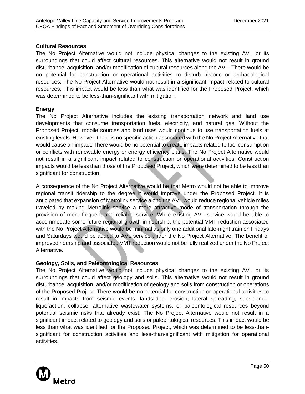## **Cultural Resources**

The No Project Alternative would not include physical changes to the existing AVL or its surroundings that could affect cultural resources. This alternative would not result in ground disturbance, acquisition, and/or modification of cultural resources along the AVL. There would be no potential for construction or operational activities to disturb historic or archaeological resources. The No Project Alternative would not result in a significant impact related to cultural resources. This impact would be less than what was identified for the Proposed Project, which was determined to be less-than-significant with mitigation.

## **Energy**

The No Project Alternative includes the existing transportation network and land use developments that consume transportation fuels, electricity, and natural gas. Without the Proposed Project, mobile sources and land uses would continue to use transportation fuels at existing levels. However, there is no specific action associated with the No Project Alternative that would cause an impact. There would be no potential to create impacts related to fuel consumption or conflicts with renewable energy or energy efficiency plans. The No Project Alternative would not result in a significant impact related to construction or operational activities. Construction impacts would be less than those of the Proposed Project, which were determined to be less than significant for construction.

A consequence of the No Project Alternative would be that Metro would not be able to improve regional transit ridership to the degree it would improve under the Proposed Project. It is anticipated that expansion of Metrolink service along the AVL would reduce regional vehicle miles traveled by making Metrolink service a more attractive mode of transportation through the provision of more frequent and reliable service. While existing AVL service would be able to accommodate some future regional growth in ridership, the potential VMT reduction associated with the No Project Alternative would be minimal as only one additional late-night train on Fridays and Saturdays would be added to AVL service under the No Project Alternative. The benefit of improved ridership and associated VMT reduction would not be fully realized under the No Project Alternative.

## **Geology, Soils, and Paleontological Resources**

The No Project Alternative would not include physical changes to the existing AVL or its surroundings that could affect geology and soils. This alternative would not result in ground disturbance, acquisition, and/or modification of geology and soils from construction or operations of the Proposed Project. There would be no potential for construction or operational activities to result in impacts from seismic events, landslides, erosion, lateral spreading, subsidence, liquefaction, collapse, alternative wastewater systems, or paleontological resources beyond potential seismic risks that already exist. The No Project Alternative would not result in a significant impact related to geology and soils or paleontological resources. This impact would be less than what was identified for the Proposed Project, which was determined to be less-thansignificant for construction activities and less-than-significant with mitigation for operational activities.

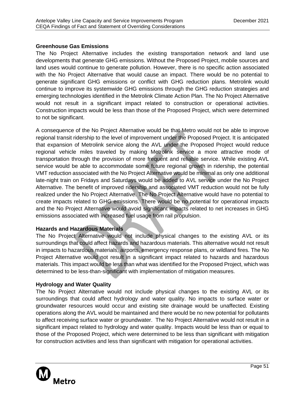## **Greenhouse Gas Emissions**

The No Project Alternative includes the existing transportation network and land use developments that generate GHG emissions. Without the Proposed Project, mobile sources and land uses would continue to generate pollution. However, there is no specific action associated with the No Project Alternative that would cause an impact. There would be no potential to generate significant GHG emissions or conflict with GHG reduction plans. Metrolink would continue to improve its systemwide GHG emissions through the GHG reduction strategies and emerging technologies identified in the Metrolink Climate Action Plan. The No Project Alternative would not result in a significant impact related to construction or operational activities. Construction impacts would be less than those of the Proposed Project, which were determined to not be significant.

A consequence of the No Project Alternative would be that Metro would not be able to improve regional transit ridership to the level of improvement under the Proposed Project. It is anticipated that expansion of Metrolink service along the AVL under the Proposed Project would reduce regional vehicle miles traveled by making Metrolink service a more attractive mode of transportation through the provision of more frequent and reliable service. While existing AVL service would be able to accommodate some future regional growth in ridership, the potential VMT reduction associated with the No Project Alternative would be minimal as only one additional late-night train on Fridays and Saturdays would be added to AVL service under the No Project Alternative. The benefit of improved ridership and associated VMT reduction would not be fully realized under the No Project Alternative. The No Project Alternative would have no potential to create impacts related to GHG emissions. There would be no potential for operational impacts and the No Project Alternative would avoid significant impacts related to net increases in GHG emissions associated with increased fuel usage from rail propulsion.

## **Hazards and Hazardous Materials**

The No Project Alternative would not include physical changes to the existing AVL or its surroundings that could affect hazards and hazardous materials. This alternative would not result in impacts to hazardous materials, airports, emergency response plans, or wildland fires. The No Project Alternative would not result in a significant impact related to hazards and hazardous materials. This impact would be less than what was identified for the Proposed Project, which was determined to be less-than-significant with implementation of mitigation measures.

## **Hydrology and Water Quality**

The No Project Alternative would not include physical changes to the existing AVL or its surroundings that could affect hydrology and water quality. No impacts to surface water or groundwater resources would occur and existing site drainage would be unaffected. Existing operations along the AVL would be maintained and there would be no new potential for pollutants to affect receiving surface water or groundwater. The No Project Alternative would not result in a significant impact related to hydrology and water quality. Impacts would be less than or equal to those of the Proposed Project, which were determined to be less than significant with mitigation for construction activities and less than significant with mitigation for operational activities.

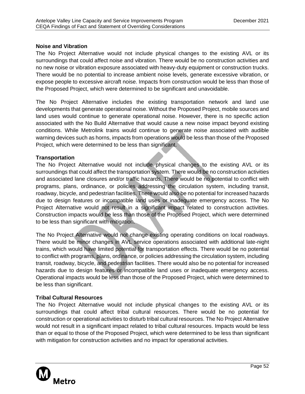## **Noise and Vibration**

The No Project Alternative would not include physical changes to the existing AVL or its surroundings that could affect noise and vibration. There would be no construction activities and no new noise or vibration exposure associated with heavy-duty equipment or construction trucks. There would be no potential to increase ambient noise levels, generate excessive vibration, or expose people to excessive aircraft noise. Impacts from construction would be less than those of the Proposed Project, which were determined to be significant and unavoidable.

The No Project Alternative includes the existing transportation network and land use developments that generate operational noise. Without the Proposed Project, mobile sources and land uses would continue to generate operational noise. However, there is no specific action associated with the No Build Alternative that would cause a new noise impact beyond existing conditions. While Metrolink trains would continue to generate noise associated with audible warning devices such as horns, impacts from operations would be less than those of the Proposed Project, which were determined to be less than significant.

## **Transportation**

The No Project Alternative would not include physical changes to the existing AVL or its surroundings that could affect the transportation system. There would be no construction activities and associated lane closures and/or traffic hazards. There would be no potential to conflict with programs, plans, ordinance, or policies addressing the circulation system, including transit, roadway, bicycle, and pedestrian facilities. There would also be no potential for increased hazards due to design features or incompatible land uses or inadequate emergency access. The No Project Alternative would not result in a significant impact related to construction activities. Construction impacts would be less than those of the Proposed Project, which were determined to be less than significant with mitigation.

The No Project Alternative would not change existing operating conditions on local roadways. There would be minor changes in AVL service operations associated with additional late-night trains, which would have limited potential for transportation effects. There would be no potential to conflict with programs, plans, ordinance, or policies addressing the circulation system, including transit, roadway, bicycle, and pedestrian facilities. There would also be no potential for increased hazards due to design features or incompatible land uses or inadequate emergency access. Operational impacts would be less than those of the Proposed Project, which were determined to be less than significant.

## **Tribal Cultural Resources**

The No Project Alternative would not include physical changes to the existing AVL or its surroundings that could affect tribal cultural resources. There would be no potential for construction or operational activities to disturb tribal cultural resources. The No Project Alternative would not result in a significant impact related to tribal cultural resources. Impacts would be less than or equal to those of the Proposed Project, which were determined to be less than significant with mitigation for construction activities and no impact for operational activities.

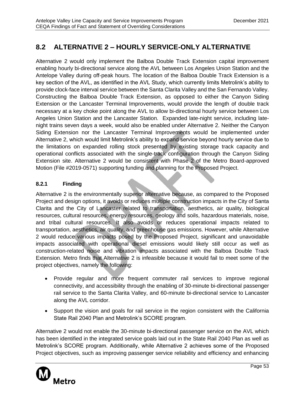## <span id="page-55-0"></span>**8.2 ALTERNATIVE 2 – HOURLY SERVICE-ONLY ALTERNATIVE**

Alternative 2 would only implement the Balboa Double Track Extension capital improvement enabling hourly bi-directional service along the AVL between Los Angeles Union Station and the Antelope Valley during off-peak hours. The location of the Balboa Double Track Extension is a key section of the AVL, as identified in the AVL Study, which currently limits Metrolink's ability to provide clock-face interval service between the Santa Clarita Valley and the San Fernando Valley. Constructing the Balboa Double Track Extension, as opposed to either the Canyon Siding Extension or the Lancaster Terminal Improvements, would provide the length of double track necessary at a key choke point along the AVL to allow bi-directional hourly service between Los Angeles Union Station and the Lancaster Station. Expanded late-night service, including latenight trains seven days a week, would also be enabled under Alternative 2. Neither the Canyon Siding Extension nor the Lancaster Terminal Improvements would be implemented under Alternative 2, which would limit Metrolink's ability to expand service beyond hourly service due to the limitations on expanded rolling stock presented by existing storage track capacity and operational conflicts associated with the single-track configuration through the Canyon Siding Extension site. Alternative 2 would be consistent with Phase 2 of the Metro Board-approved Motion (File #2019-0571) supporting funding and planning for the Proposed Project.

## **8.2.1 Finding**

Alternative 2 is the environmentally superior alternative because, as compared to the Proposed Project and design options, it avoids or reduces multiple construction impacts in the City of Santa Clarita and the City of Lancaster related to transportation, aesthetics, air quality, biological resources, cultural resources, energy resources, geology and soils, hazardous materials, noise, and tribal cultural resources. It also avoids or reduces operational impacts related to transportation, aesthetics, air quality, and greenhouse gas emissions. However, while Alternative 2 would reduce various impacts posed by the Proposed Project, significant and unavoidable impacts associated with operational diesel emissions would likely still occur as well as construction-related noise and vibration impacts associated with the Balboa Double Track Extension. Metro finds that Alternative 2 is infeasible because it would fail to meet some of the project objectives, namely the following:

- Provide regular and more frequent commuter rail services to improve regional connectivity, and accessibility through the enabling of 30-minute bi-directional passenger rail service to the Santa Clarita Valley, and 60-minute bi-directional service to Lancaster along the AVL corridor.
- Support the vision and goals for rail service in the region consistent with the California State Rail 2040 Plan and Metrolink's SCORE program.

Alternative 2 would not enable the 30-minute bi-directional passenger service on the AVL which has been identified in the integrated service goals laid out in the State Rail 2040 Plan as well as Metrolink's SCORE program. Additionally, while Alternative 2 achieves some of the Proposed Project objectives, such as improving passenger service reliability and efficiency and enhancing

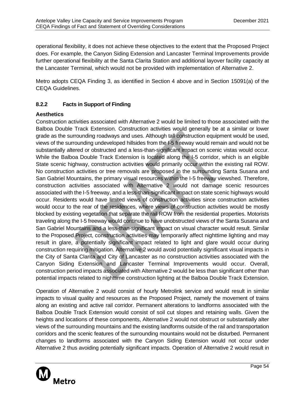operational flexibility, it does not achieve these objectives to the extent that the Proposed Project does. For example, the Canyon Siding Extension and Lancaster Terminal Improvements provide further operational flexibility at the Santa Clarita Station and additional layover facility capacity at the Lancaster Terminal, which would not be provided with implementation of Alternative 2.

Metro adopts CEQA Finding 3, as identified in Section 4 above and in Section 15091(a) of the CEQA Guidelines.

## **8.2.2 Facts in Support of Finding**

## **Aesthetics**

Construction activities associated with Alternative 2 would be limited to those associated with the Balboa Double Track Extension. Construction activities would generally be at a similar or lower grade as the surrounding roadways and uses. Although tall construction equipment would be used, views of the surrounding undeveloped hillsides from the I-5 freeway would remain and would not be substantially altered or obstructed and a less-than-significant impact on scenic vistas would occur. While the Balboa Double Track Extension is located along the I-5 corridor, which is an eligible State scenic highway, construction activities would primarily occur within the existing rail ROW. No construction activities or tree removals are proposed in the surrounding Santa Susana and San Gabriel Mountains, the primary visual resources within the I-5 freeway viewshed. Therefore, construction activities associated with Alternative 2 would not damage scenic resources associated with the I-5 freeway, and a less-than-significant impact on state scenic highways would occur. Residents would have limited views of construction activities since construction activities would occur to the rear of the residences, where views of construction activities would be mostly blocked by existing vegetation that separate the rail ROW from the residential properties. Motorists traveling along the I-5 freeway would continue to have unobstructed views of the Santa Susana and San Gabriel Mountains and a less-than-significant impact on visual character would result. Similar to the Proposed Project, construction activities may temporarily affect nighttime lighting and may result in glare, a potentially significant impact related to light and glare would occur during construction requiring mitigation. Alternative 2 would avoid potentially significant visual impacts in the City of Santa Clarita and City of Lancaster as no construction activities associated with the Canyon Siding Extension and Lancaster Terminal Improvements would occur. Overall, construction period impacts associated with Alternative 2 would be less than significant other than potential impacts related to nighttime construction lighting at the Balboa Double Track Extension.

Operation of Alternative 2 would consist of hourly Metrolink service and would result in similar impacts to visual quality and resources as the Proposed Project, namely the movement of trains along an existing and active rail corridor. Permanent alterations to landforms associated with the Balboa Double Track Extension would consist of soil cut slopes and retaining walls. Given the heights and locations of these components, Alternative 2 would not obstruct or substantially alter views of the surrounding mountains and the existing landforms outside of the rail and transportation corridors and the scenic features of the surrounding mountains would not be disturbed. Permanent changes to landforms associated with the Canyon Siding Extension would not occur under Alternative 2 thus avoiding potentially significant impacts. Operation of Alternative 2 would result in

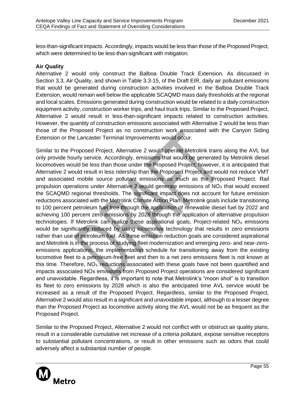less-than-significant impacts. Accordingly, impacts would be less than those of the Proposed Project, which were determined to be less-than-significant with mitigation.

## **Air Quality**

Alternative 2 would only construct the Balboa Double Track Extension. As discussed in Section 3.3, Air Quality, and shown in Table 3.3-15, of the Draft EIR, daily air pollutant emissions that would be generated during construction activities involved in the Balboa Double Track Extension, would remain well below the applicable SCAQMD mass daily thresholds at the regional and local scales. Emissions generated during construction would be related to a daily construction equipment activity, construction worker trips, and haul truck trips. Similar to the Proposed Project, Alternative 2 would result in less-than-significant impacts related to construction activities. However, the quantity of construction emissions associated with Alternative 2 would be less than those of the Proposed Project as no construction work associated with the Canyon Siding Extension or the Lancaster Terminal Improvements would occur.

Similar to the Proposed Project, Alternative 2 would operate Metrolink trains along the AVL but only provide hourly service. Accordingly, emissions that would be generated by Metrolink diesel locomotives would be less than those under the Proposed Project; however, it is anticipated that Alternative 2 would result in less ridership than the Proposed Project and would not reduce VMT and associated mobile source pollutant emissions as much as the Proposed Project. Rail propulsion operations under Alternative 2 would generate emissions of  $NO<sub>x</sub>$  that would exceed the SCAQMD regional thresholds. The significant impact does not account for future emission reductions associated with the Metrolink Climate Action Plan. Metrolink goals include transitioning to 100 percent petroleum fuel free through the application of renewable diesel fuel by 2022 and achieving 100 percent zero emissions by 2028 through the application of alternative propulsion technologies. If Metrolink can realize these aspirational goals, Project-related  $NO<sub>x</sub>$  emissions would be significantly reduced by using locomotive technology that results in zero emissions rather than use of petroleum fuel. As these emission reduction goals are considered aspirational and Metrolink is in the process of studying fleet modernization and emerging zero- and near-zeroemissions applications, the implementation schedule for transitioning away from the existing locomotive fleet to a petroleum-free fleet and then to a net zero emissions fleet is not known at this time. Therefore,  $NO<sub>x</sub>$  reductions associated with these goals have not been quantified and impacts associated NOx emissions from Proposed Project operations are considered significant and unavoidable. Regardless, it is important to note that Metrolink's "moon shot" is to transition its fleet to zero emissions by 2028 which is also the anticipated time AVL service would be increased as a result of the Proposed Project. Regardless, similar to the Proposed Project, Alternative 2 would also result in a significant and unavoidable impact, although to a lesser degree than the Proposed Project as locomotive activity along the AVL would not be as frequent as the Proposed Project.

Similar to the Proposed Project, Alternative 2 would not conflict with or obstruct air quality plans, result in a considerable cumulative net increase of a criteria pollutant, expose sensitive receptors to substantial pollutant concentrations, or result in other emissions such as odors that could adversely affect a substantial number of people.

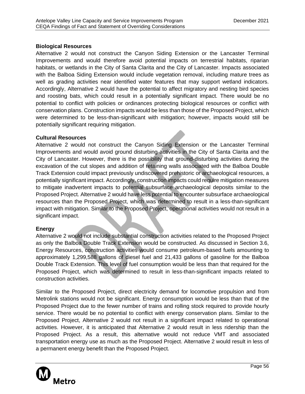## **Biological Resources**

Alternative 2 would not construct the Canyon Siding Extension or the Lancaster Terminal Improvements and would therefore avoid potential impacts on terrestrial habitats, riparian habitats, or wetlands in the City of Santa Clarita and the City of Lancaster. Impacts associated with the Balboa Siding Extension would include vegetation removal, including mature trees as well as grading activities near identified water features that may support wetland indicators. Accordingly, Alternative 2 would have the potential to affect migratory and nesting bird species and roosting bats, which could result in a potentially significant impact. There would be no potential to conflict with policies or ordinances protecting biological resources or conflict with conservation plans. Construction impacts would be less than those of the Proposed Project, which were determined to be less-than-significant with mitigation; however, impacts would still be potentially significant requiring mitigation.

## **Cultural Resources**

Alternative 2 would not construct the Canyon Siding Extension or the Lancaster Terminal Improvements and would avoid ground disturbing activities in the City of Santa Clarita and the City of Lancaster. However, there is the possibility that ground‐disturbing activities during the excavation of the cut slopes and addition of retaining walls associated with the Balboa Double Track Extension could impact previously undiscovered prehistoric or archaeological resources, a potentially significant impact. Accordingly, construction impacts could require mitigation measures to mitigate inadvertent impacts to potential subsurface archaeological deposits similar to the Proposed Project. Alternative 2 would have less potential to encounter subsurface archaeological resources than the Proposed Project, which was determined to result in a less-than-significant impact with mitigation. Similar to the Proposed Project, operational activities would not result in a significant impact.

## **Energy**

Alternative 2 would not include substantial construction activities related to the Proposed Project as only the Balboa Double Track Extension would be constructed. As discussed in Section 3.6, Energy Resources, construction activities would consume petroleum-based fuels amounting to approximately 1,299,588 gallons of diesel fuel and 21,433 gallons of gasoline for the Balboa Double Track Extension. This level of fuel consumption would be less than that required for the Proposed Project, which was determined to result in less-than-significant impacts related to construction activities.

Similar to the Proposed Project, direct electricity demand for locomotive propulsion and from Metrolink stations would not be significant. Energy consumption would be less than that of the Proposed Project due to the fewer number of trains and rolling stock required to provide hourly service. There would be no potential to conflict with energy conservation plans. Similar to the Proposed Project, Alternative 2 would not result in a significant impact related to operational activities. However, it is anticipated that Alternative 2 would result in less ridership than the Proposed Project. As a result, this alternative would not reduce VMT and associated transportation energy use as much as the Proposed Project. Alternative 2 would result in less of a permanent energy benefit than the Proposed Project.

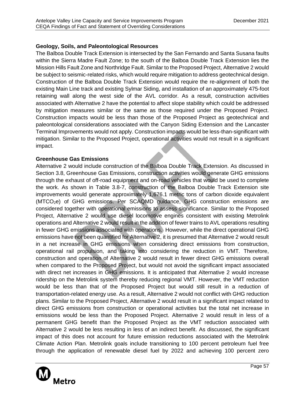## **Geology, Soils, and Paleontological Resources**

The Balboa Double Track Extension is intersected by the San Fernando and Santa Susana faults within the Sierra Madre Fault Zone; to the south of the Balboa Double Track Extension lies the Mission Hills Fault Zone and Northridge Fault. Similar to the Proposed Project, Alternative 2 would be subject to seismic-related risks, which would require mitigation to address geotechnical design. Construction of the Balboa Double Track Extension would require the re-alignment of both the existing Main Line track and existing Sylmar Siding, and installation of an approximately 475-foot retaining wall along the west side of the AVL corridor. As a result, construction activities associated with Alternative 2 have the potential to affect slope stability which could be addressed by mitigation measures similar or the same as those required under the Proposed Project. Construction impacts would be less than those of the Proposed Project as geotechnical and paleontological considerations associated with the Canyon Siding Extension and the Lancaster Terminal Improvements would not apply. Construction impacts would be less-than-significant with mitigation. Similar to the Proposed Project, operational activities would not result in a significant impact.

## **Greenhouse Gas Emissions**

Alternative 2 would include construction of the Balboa Double Track Extension. As discussed in Section 3.8, Greenhouse Gas Emissions, construction activities would generate GHG emissions through the exhaust of off-road equipment and on-road vehicles that would be used to complete the work. As shown in Table 3.8-7, construction of the Balboa Double Track Extension site improvements would generate approximately 1,676.1 metric tons of carbon dioxide equivalent (MTCO<sub>2</sub>e) of GHG emissions. Per SCAQMD quidance, GHG construction emissions are considered together with operational emissions to assess significance. Similar to the Proposed Project, Alternative 2 would use diesel locomotive engines consistent with existing Metrolink operations and Alternative 2 would result in the addition of fewer trains to AVL operations resulting in fewer GHG emissions associated with operations. However, while the direct operational GHG emissions have not been quantified for Alternative 2, it is presumed that Alternative 2 would result in a net increase in GHG emissions when considering direct emissions from construction, operational rail propulsion, and taking into considering the reduction in VMT. Therefore, construction and operation of Alternative 2 would result in fewer direct GHG emissions overall when compared to the Proposed Project, but would not avoid the significant impact associated with direct net increases in GHG emissions. It is anticipated that Alternative 2 would increase ridership on the Metrolink system thereby reducing regional VMT. However, the VMT reduction would be less than that of the Proposed Project but would still result in a reduction of transportation-related energy use. As a result, Alternative 2 would not conflict with GHG reduction plans. Similar to the Proposed Project, Alternative 2 would result in a significant impact related to direct GHG emissions from construction or operational activities but the total net increase in emissions would be less than the Proposed Project. Alternative 2 would result in less of a permanent GHG benefit than the Proposed Project as the VMT reduction associated with Alternative 2 would be less resulting in less of an indirect benefit. As discussed, the significant impact of this does not account for future emission reductions associated with the Metrolink Climate Action Plan. Metrolink goals include transitioning to 100 percent petroleum fuel free through the application of renewable diesel fuel by 2022 and achieving 100 percent zero

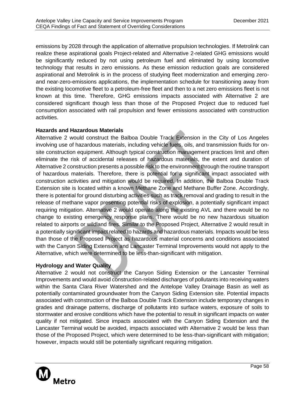emissions by 2028 through the application of alternative propulsion technologies. If Metrolink can realize these aspirational goals Project-related and Alternative 2-related GHG emissions would be significantly reduced by not using petroleum fuel and eliminated by using locomotive technology that results in zero emissions. As these emission reduction goals are considered aspirational and Metrolink is in the process of studying fleet modernization and emerging zeroand near-zero-emissions applications, the implementation schedule for transitioning away from the existing locomotive fleet to a petroleum-free fleet and then to a net zero emissions fleet is not known at this time. Therefore, GHG emissions impacts associated with Alternative 2 are considered significant though less than those of the Proposed Project due to reduced fuel consumption associated with rail propulsion and fewer emissions associated with construction activities.

#### **Hazards and Hazardous Materials**

Alternative 2 would construct the Balboa Double Track Extension in the City of Los Angeles involving use of hazardous materials, including vehicle fuels, oils, and transmission fluids for onsite construction equipment. Although typical construction management practices limit and often eliminate the risk of accidental releases of hazardous materials, the extent and duration of Alternative 2 construction presents a possible risk to the environment through the routine transport of hazardous materials. Therefore, there is potential for a significant impact associated with construction activities and mitigation would be required. In addition, the Balboa Double Track Extension site is located within a known Methane Zone and Methane Buffer Zone. Accordingly, there is potential for ground disturbing activities such as track removal and grading to result in the release of methane vapor presenting potential risks of explosion, a potentially significant impact requiring mitigation. Alternative 2 would operate along the existing AVL and there would be no change to existing emergency response plans. There would be no new hazardous situation related to airports or wildland fires. Similar to the Proposed Project, Alternative 2 would result in a potentially significant impact related to hazards and hazardous materials. Impacts would be less than those of the Proposed Project as hazardous material concerns and conditions associated with the Canyon Siding Extension and Lancaster Terminal Improvements would not apply to the Alternative, which were determined to be less-than-significant with mitigation.

## **Hydrology and Water Quality**

Alternative 2 would not construct the Canyon Siding Extension or the Lancaster Terminal Improvements and would avoid construction-related discharges of pollutants into receiving waters within the Santa Clara River Watershed and the Antelope Valley Drainage Basin as well as potentially contaminated groundwater from the Canyon Siding Extension site. Potential impacts associated with construction of the Balboa Double Track Extension include temporary changes in grades and drainage patterns, discharge of pollutants into surface waters, exposure of soils to stormwater and erosive conditions which have the potential to result in significant impacts on water quality if not mitigated. Since impacts associated with the Canyon Siding Extension and the Lancaster Terminal would be avoided, impacts associated with Alternative 2 would be less than those of the Proposed Project, which were determined to be less-than-significant with mitigation; however, impacts would still be potentially significant requiring mitigation.

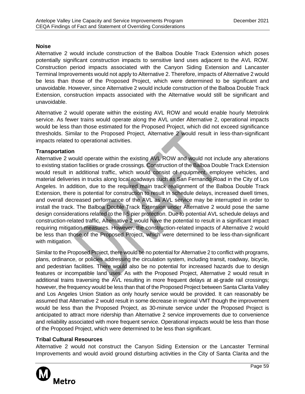#### **Noise**

Alternative 2 would include construction of the Balboa Double Track Extension which poses potentially significant construction impacts to sensitive land uses adjacent to the AVL ROW. Construction period impacts associated with the Canyon Siding Extension and Lancaster Terminal Improvements would not apply to Alternative 2. Therefore, impacts of Alternative 2 would be less than those of the Proposed Project, which were determined to be significant and unavoidable. However, since Alternative 2 would include construction of the Balboa Double Track Extension, construction impacts associated with the Alternative would still be significant and unavoidable.

Alternative 2 would operate within the existing AVL ROW and would enable hourly Metrolink service. As fewer trains would operate along the AVL under Alternative 2, operational impacts would be less than those estimated for the Proposed Project, which did not exceed significance thresholds. Similar to the Proposed Project, Alternative 2 would result in less-than-significant impacts related to operational activities.

#### **Transportation**

Alternative 2 would operate within the existing AVL ROW and would not include any alterations to existing station facilities or grade crossings. Construction of the Balboa Double Track Extension would result in additional traffic, which would consist of equipment, employee vehicles, and material deliveries in trucks along local roadways such as San Fernando Road in the City of Los Angeles. In addition, due to the required main track realignment of the Balboa Double Track Extension, there is potential for construction to result in schedule delays, increased dwell times, and overall decreased performance of the AVL as AVL service may be interrupted in order to install the track. The Balboa Double Track Extension under Alternative 2 would pose the same design considerations related to the I-5 pier protection. Due to potential AVL schedule delays and construction-related traffic, Alternative 2 would have the potential to result in a significant impact requiring mitigation measures. However, the construction-related impacts of Alternative 2 would be less than those of the Proposed Project, which were determined to be less-than-significant with mitigation.

Similar to the Proposed Project, there would be no potential for Alternative 2 to conflict with programs, plans, ordinance, or policies addressing the circulation system, including transit, roadway, bicycle, and pedestrian facilities. There would also be no potential for increased hazards due to design features or incompatible land uses. As with the Proposed Project, Alternative 2 would result in additional trains traversing the AVL resulting in more frequent delays at at-grade rail crossings; however, the frequency would be less than that of the Proposed Project between Santa Clarita Valley and Los Angeles Union Station as only hourly service would be provided. It can reasonably be assumed that Alternative 2 would result in some decrease in regional VMT though the improvement would be less than the Proposed Project, as 30-minute service under the Proposed Project is anticipated to attract more ridership than Alternative 2 service improvements due to convenience and reliability associated with more frequent service. Operational impacts would be less than those of the Proposed Project, which were determined to be less than significant.

## **Tribal Cultural Resources**

Alternative 2 would not construct the Canyon Siding Extension or the Lancaster Terminal Improvements and would avoid ground disturbing activities in the City of Santa Clarita and the

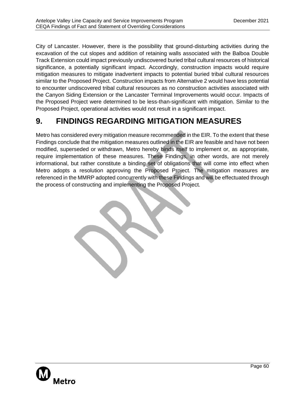City of Lancaster. However, there is the possibility that ground‐disturbing activities during the excavation of the cut slopes and addition of retaining walls associated with the Balboa Double Track Extension could impact previously undiscovered buried tribal cultural resources of historical significance, a potentially significant impact. Accordingly, construction impacts would require mitigation measures to mitigate inadvertent impacts to potential buried tribal cultural resources similar to the Proposed Project. Construction impacts from Alternative 2 would have less potential to encounter undiscovered tribal cultural resources as no construction activities associated with the Canyon Siding Extension or the Lancaster Terminal Improvements would occur. Impacts of the Proposed Project were determined to be less-than-significant with mitigation. Similar to the Proposed Project, operational activities would not result in a significant impact.

# <span id="page-62-0"></span>**9. FINDINGS REGARDING MITIGATION MEASURES**

Metro has considered every mitigation measure recommended in the EIR. To the extent that these Findings conclude that the mitigation measures outlined in the EIR are feasible and have not been modified, superseded or withdrawn, Metro hereby binds itself to implement or, as appropriate, require implementation of these measures. These Findings, in other words, are not merely informational, but rather constitute a binding set of obligations that will come into effect when Metro adopts a resolution approving the Proposed Project. The mitigation measures are referenced in the MMRP adopted concurrently with these Findings and will be effectuated through the process of constructing and implementing the Proposed Project.